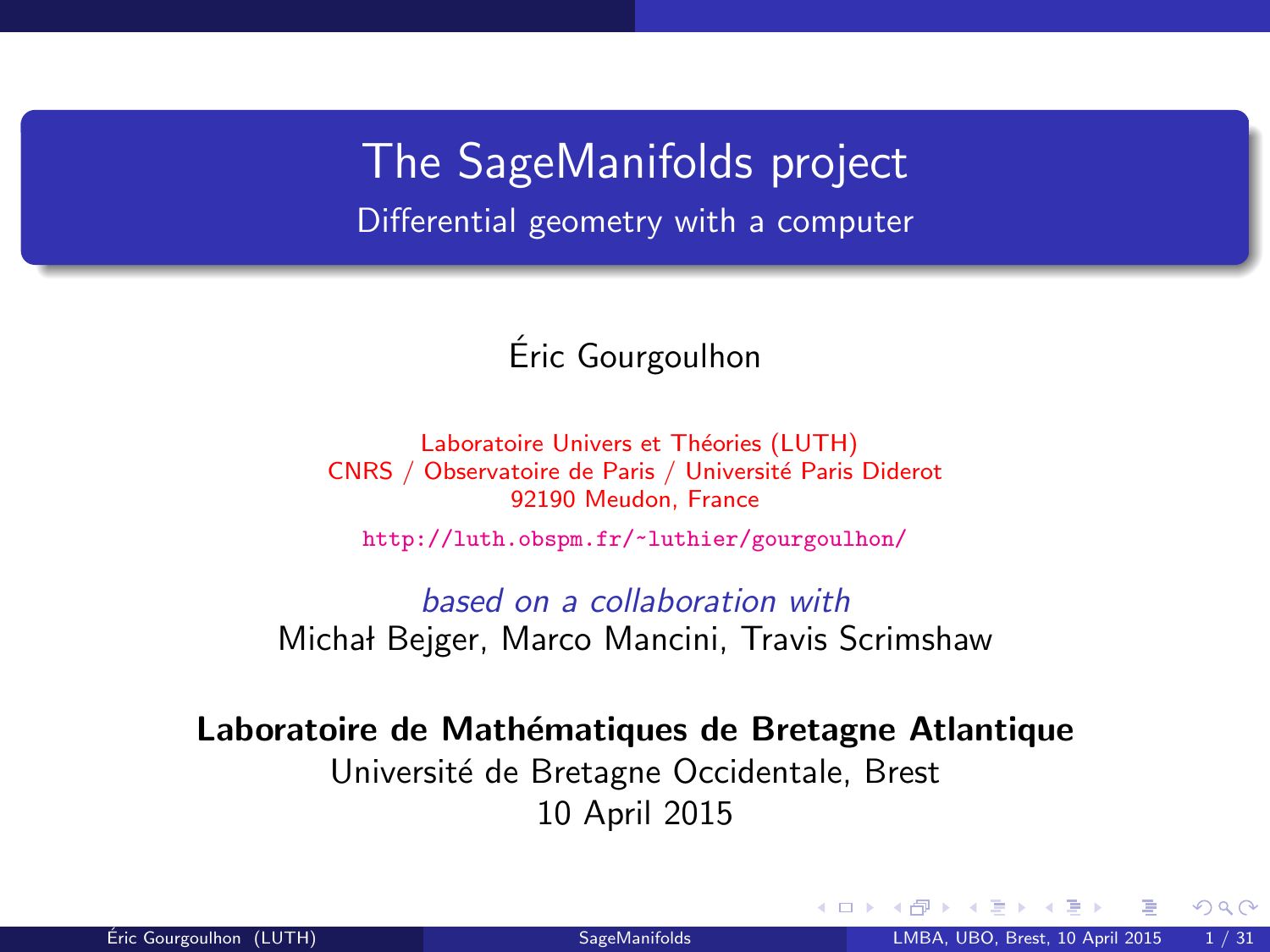The SageManifolds project Differential geometry with a computer

### Eric Gourgoulhon ´

Laboratoire Univers et Théories (LUTH) CNRS / Observatoire de Paris / Université Paris Diderot 92190 Meudon, France

<http://luth.obspm.fr/~luthier/gourgoulhon/>

based on a collaboration with Michał Bejger, Marco Mancini, Travis Scrimshaw

Laboratoire de Mathématiques de Bretagne Atlantique Université de Bretagne Occidentale, Brest 10 April 2015

<span id="page-0-0"></span> $\Omega$ 

**← ロ ▶ → イ 同**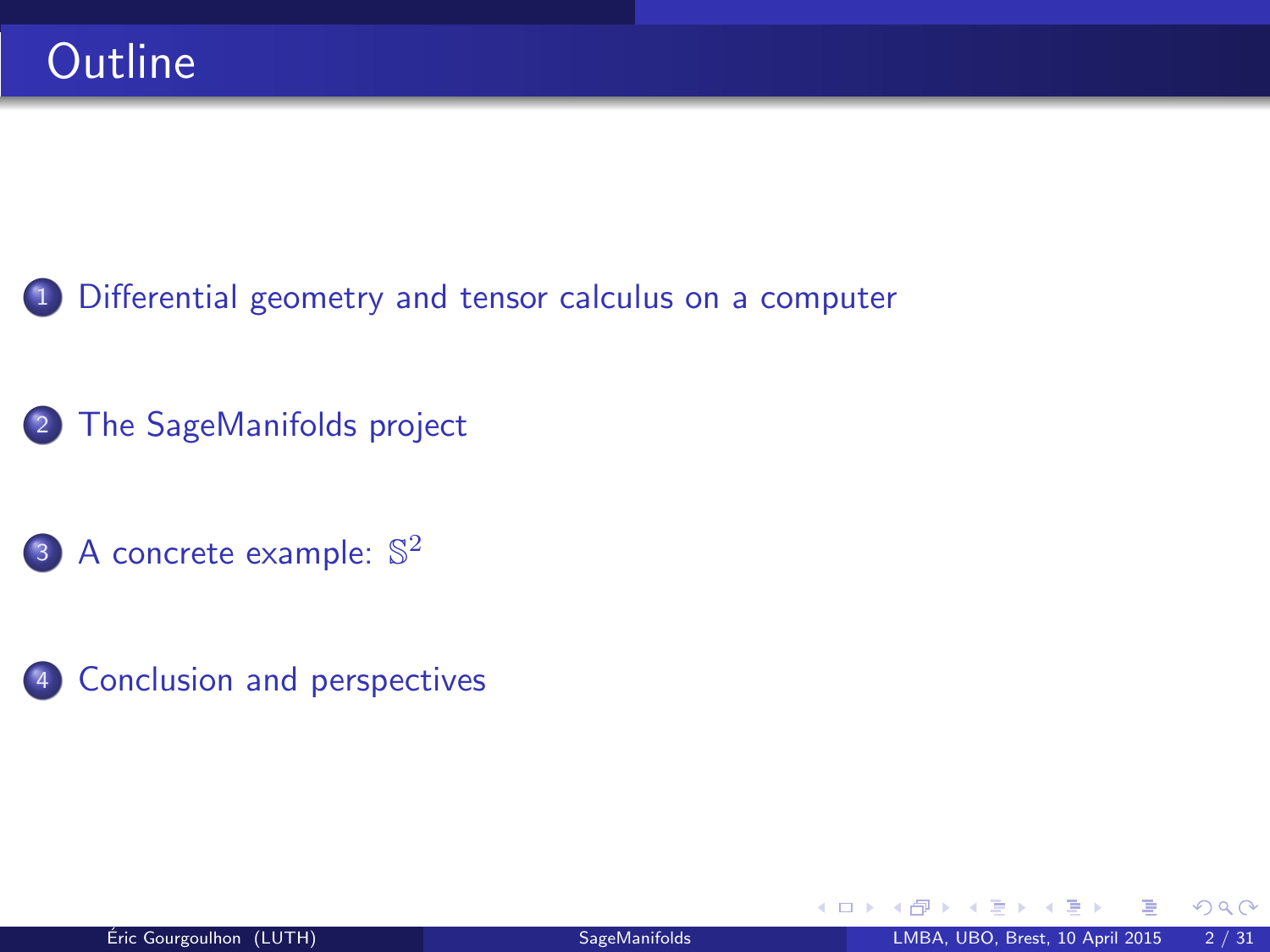<sup>1</sup> [Differential geometry and tensor calculus on a computer](#page-2-0)

- <sup>2</sup> [The SageManifolds project](#page-17-0)
	- 3 [A concrete example:](#page-38-0)  $\mathbb{S}^2$
- 4 [Conclusion and perspectives](#page-40-0)

 $298$ 

4 0 8 4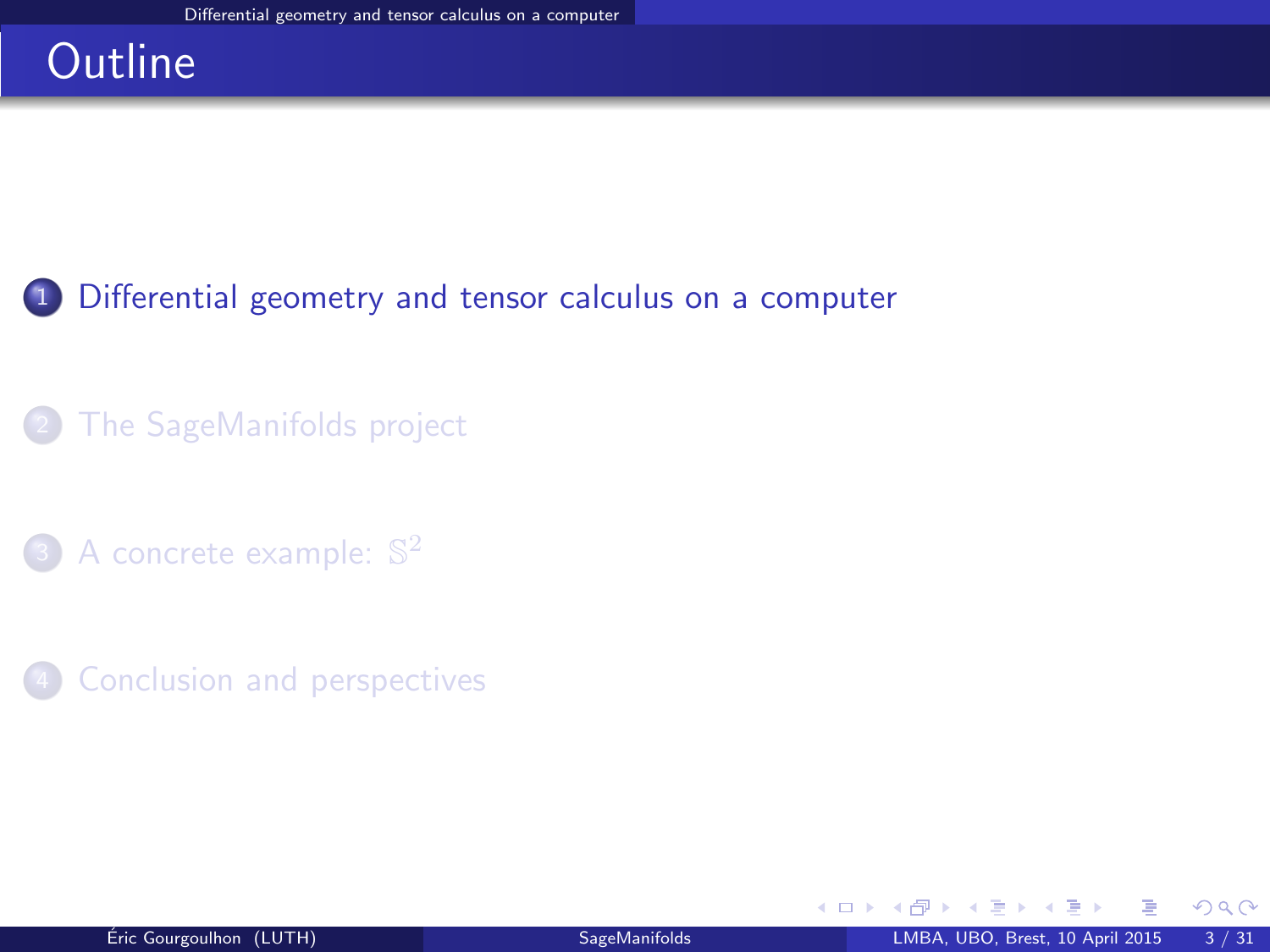### **Outline**

### <sup>1</sup> [Differential geometry and tensor calculus on a computer](#page-2-0)

### [The SageManifolds project](#page-17-0)

- 3 [A concrete example:](#page-38-0)  $\mathbb{S}^2$
- **[Conclusion and perspectives](#page-40-0)**

<span id="page-2-0"></span> $298$ 

э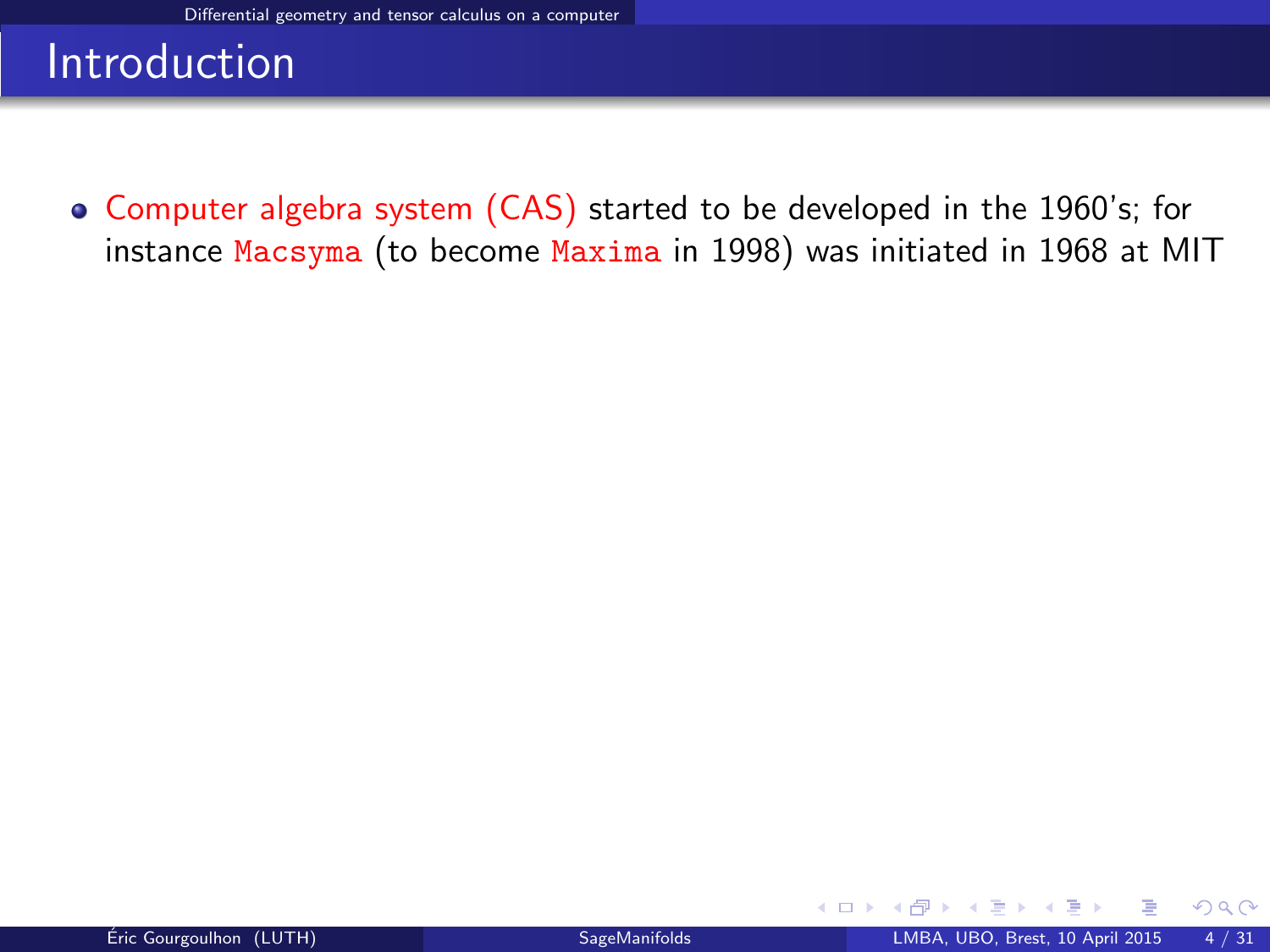Computer algebra system (CAS) started to be developed in the 1960's; for instance Macsyma (to become Maxima in 1998) was initiated in 1968 at MIT

**←ロ ▶ ← イ 同 →** 

<span id="page-3-0"></span> $2Q$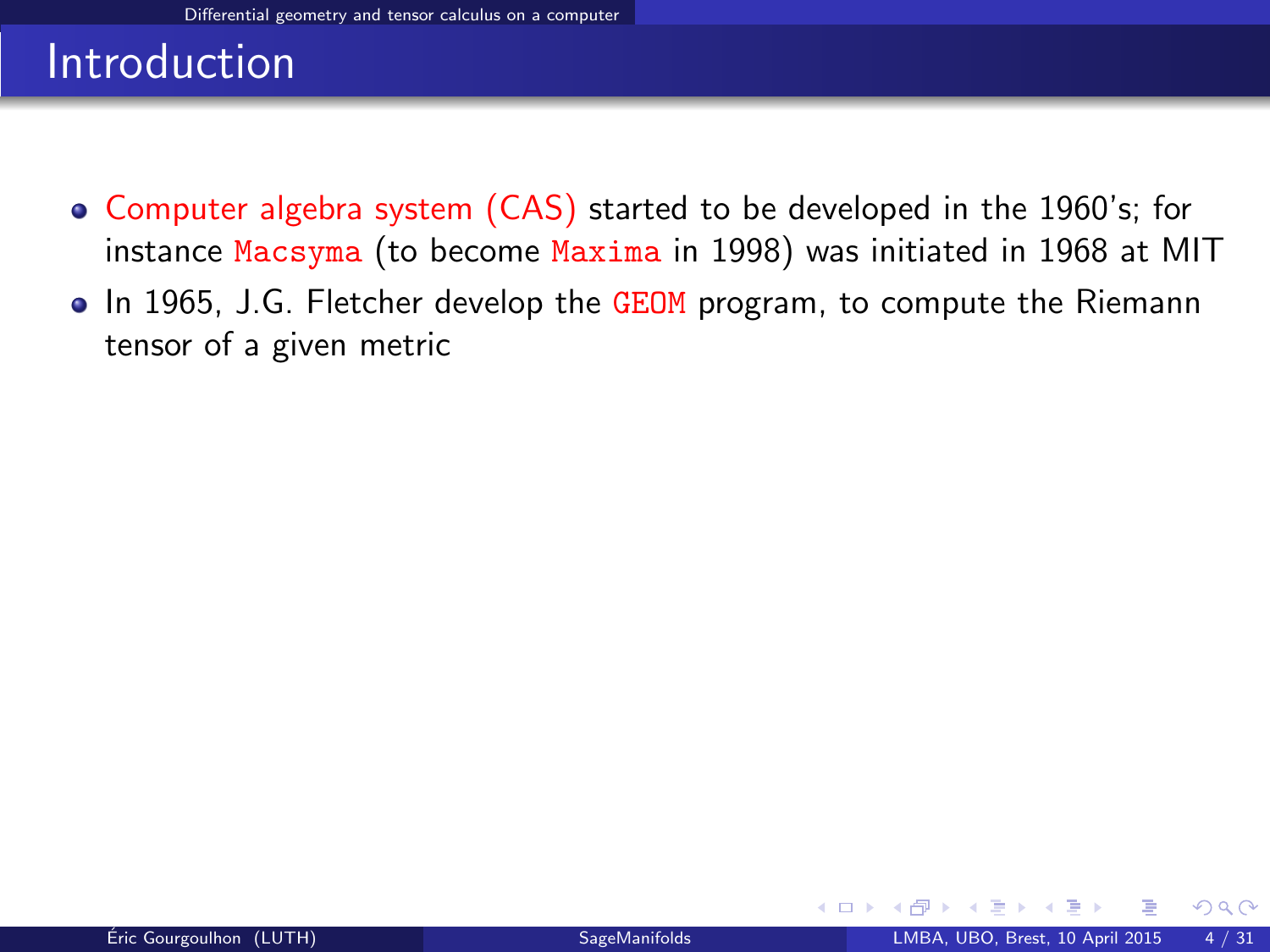- Computer algebra system (CAS) started to be developed in the 1960's; for instance Macsyma (to become Maxima in 1998) was initiated in 1968 at MIT
- In 1965, J.G. Fletcher develop the GEOM program, to compute the Riemann tensor of a given metric

<span id="page-4-0"></span> $\Omega$ 

∢ <del>□</del> ▶ ∢ n ▶ →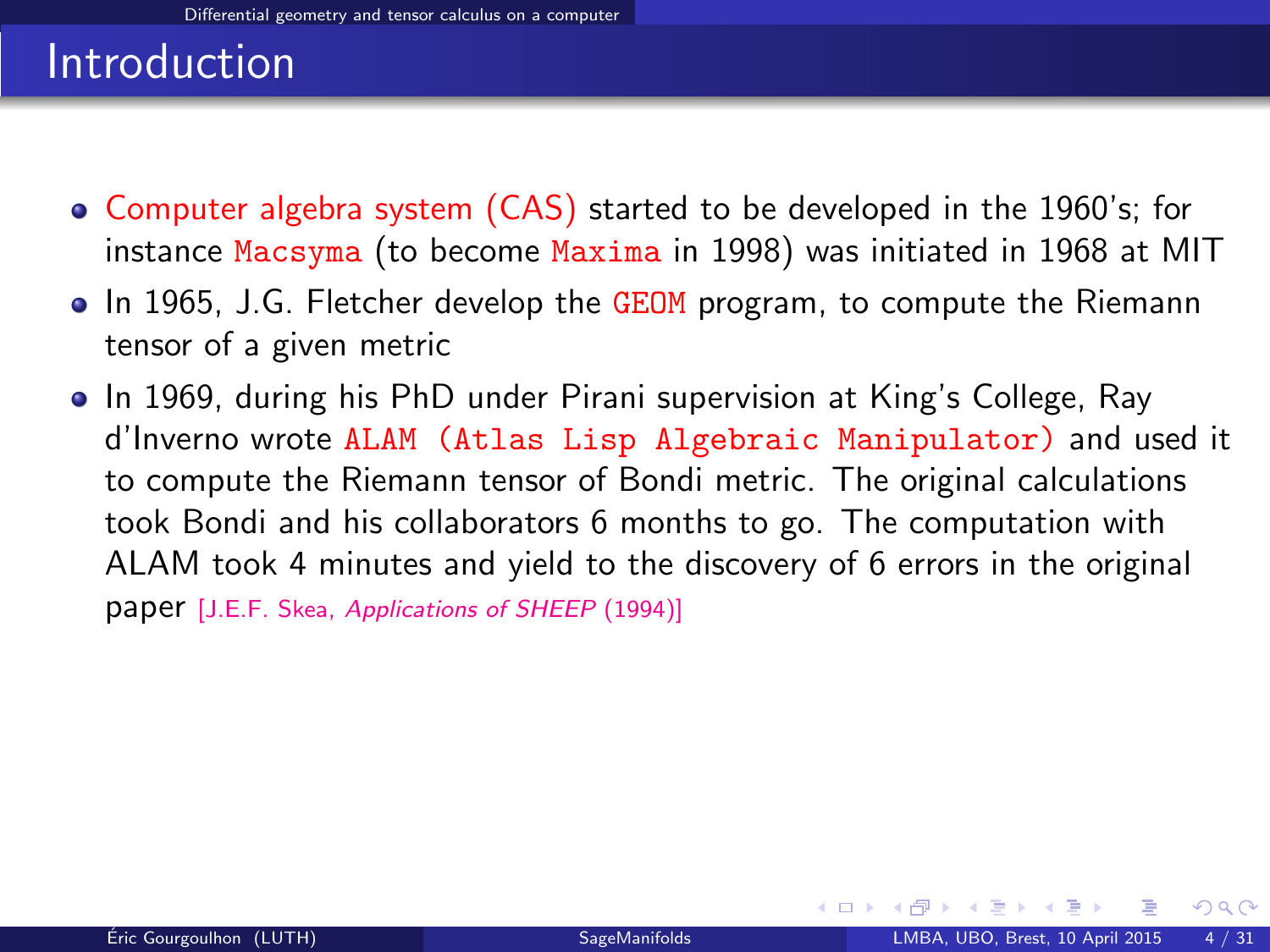- Computer algebra system (CAS) started to be developed in the 1960's; for instance Macsyma (to become Maxima in 1998) was initiated in 1968 at MIT
- In 1965, J.G. Fletcher develop the GEOM program, to compute the Riemann tensor of a given metric
- In 1969, during his PhD under Pirani supervision at King's College, Ray d'Inverno wrote ALAM (Atlas Lisp Algebraic Manipulator) and used it to compute the Riemann tensor of Bondi metric. The original calculations took Bondi and his collaborators 6 months to go. The computation with ALAM took 4 minutes and yield to the discovery of 6 errors in the original paper [J.E.F. Skea, [Applications of SHEEP](http://www.computeralgebra.nl/systemsoverview/special/tensoranalysis/sheep/) (1994)]

<span id="page-5-0"></span> $\Omega$ 

**K ロ ト K 何 ト K 日**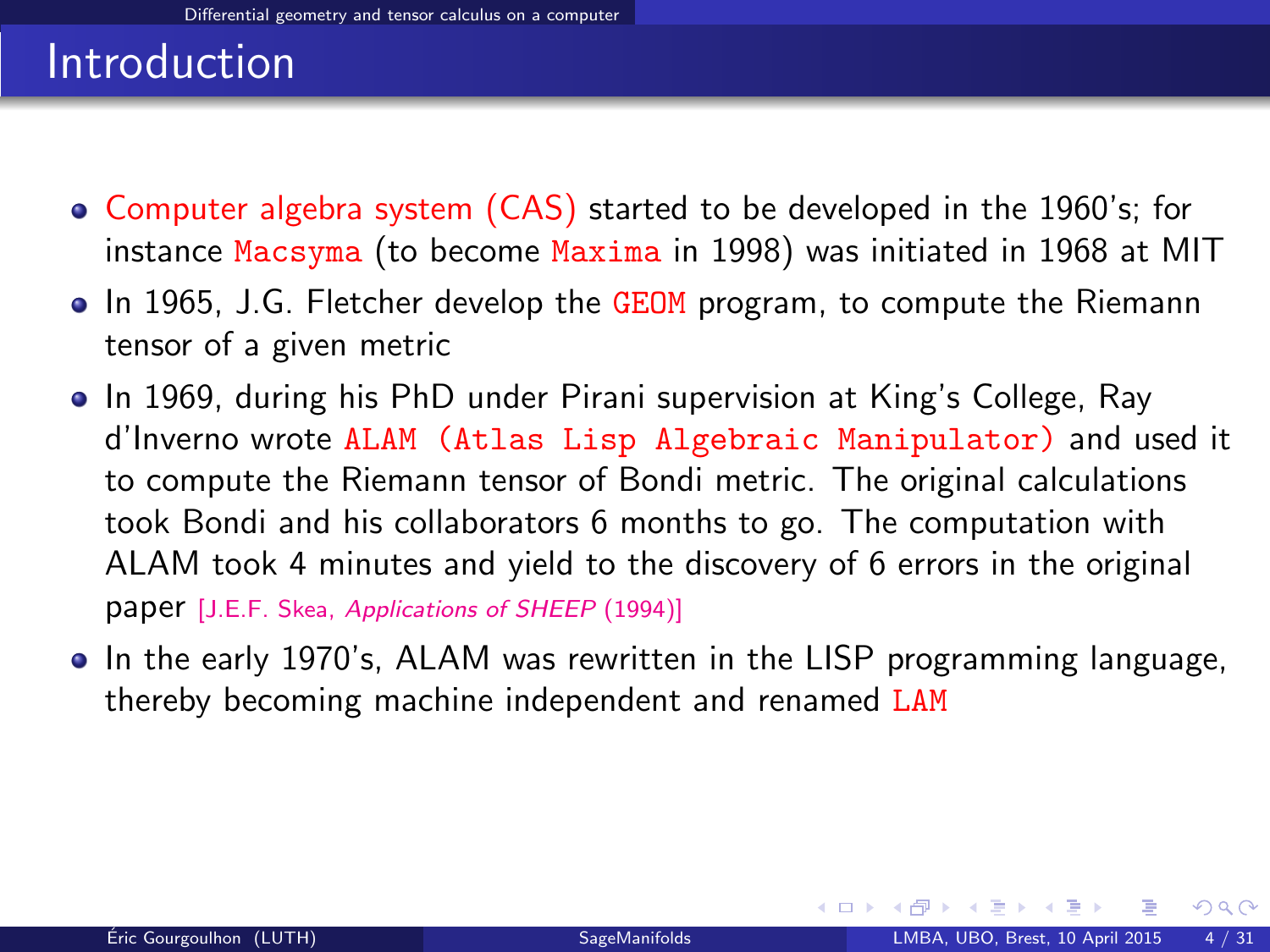- Computer algebra system (CAS) started to be developed in the 1960's; for instance Macsyma (to become Maxima in 1998) was initiated in 1968 at MIT
- In 1965, J.G. Fletcher develop the GEOM program, to compute the Riemann tensor of a given metric
- In 1969, during his PhD under Pirani supervision at King's College, Ray d'Inverno wrote ALAM (Atlas Lisp Algebraic Manipulator) and used it to compute the Riemann tensor of Bondi metric. The original calculations took Bondi and his collaborators 6 months to go. The computation with ALAM took 4 minutes and yield to the discovery of 6 errors in the original paper [J.E.F. Skea, [Applications of SHEEP](http://www.computeralgebra.nl/systemsoverview/special/tensoranalysis/sheep/) (1994)]
- In the early 1970's, ALAM was rewritten in the LISP programming language, thereby becoming machine independent and renamed LAM

<span id="page-6-0"></span> $\Omega$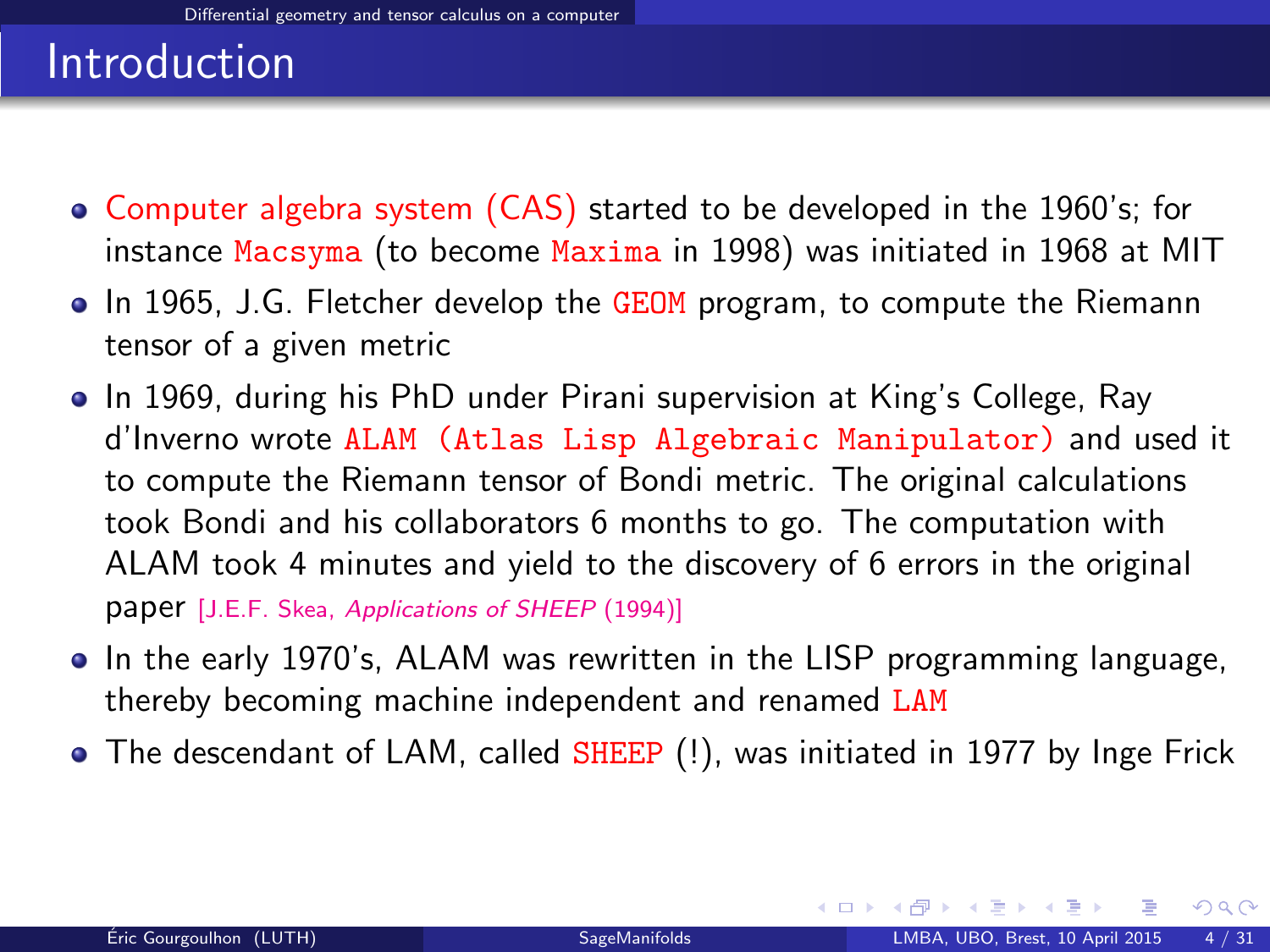- Computer algebra system (CAS) started to be developed in the 1960's; for instance Macsyma (to become Maxima in 1998) was initiated in 1968 at MIT
- In 1965, J.G. Fletcher develop the GEOM program, to compute the Riemann tensor of a given metric
- In 1969, during his PhD under Pirani supervision at King's College, Ray d'Inverno wrote ALAM (Atlas Lisp Algebraic Manipulator) and used it to compute the Riemann tensor of Bondi metric. The original calculations took Bondi and his collaborators 6 months to go. The computation with ALAM took 4 minutes and yield to the discovery of 6 errors in the original paper [J.E.F. Skea, [Applications of SHEEP](http://www.computeralgebra.nl/systemsoverview/special/tensoranalysis/sheep/) (1994)]
- In the early 1970's, ALAM was rewritten in the LISP programming language, thereby becoming machine independent and renamed LAM
- The descendant of LAM, called SHEEP (!), was initiated in 1977 by Inge Frick

<span id="page-7-0"></span> $\Omega$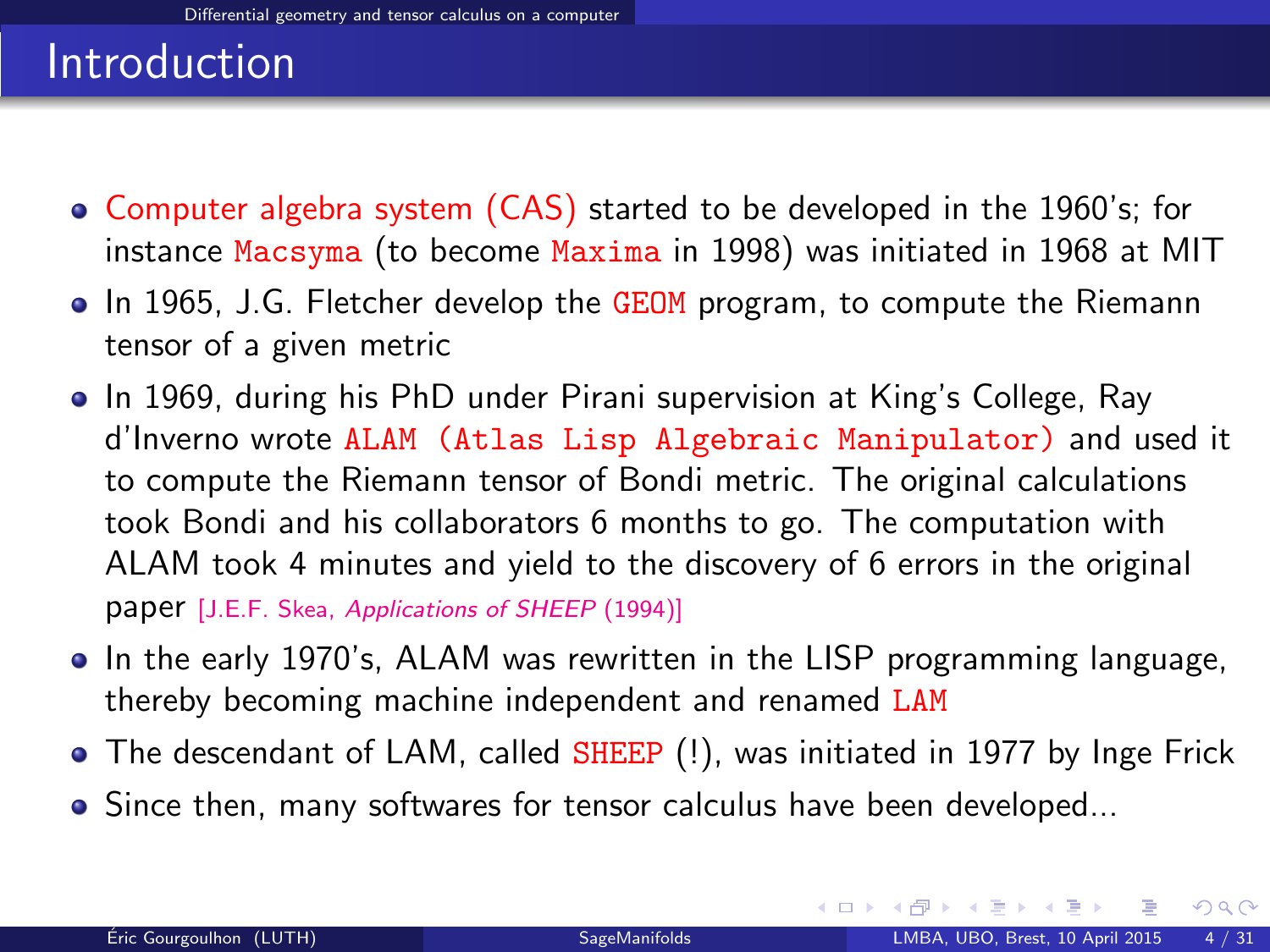- Computer algebra system (CAS) started to be developed in the 1960's; for instance Macsyma (to become Maxima in 1998) was initiated in 1968 at MIT
- In 1965, J.G. Fletcher develop the GEOM program, to compute the Riemann tensor of a given metric
- In 1969, during his PhD under Pirani supervision at King's College, Ray d'Inverno wrote ALAM (Atlas Lisp Algebraic Manipulator) and used it to compute the Riemann tensor of Bondi metric. The original calculations took Bondi and his collaborators 6 months to go. The computation with ALAM took 4 minutes and yield to the discovery of 6 errors in the original paper [J.E.F. Skea, [Applications of SHEEP](http://www.computeralgebra.nl/systemsoverview/special/tensoranalysis/sheep/) (1994)]
- In the early 1970's, ALAM was rewritten in the LISP programming language, thereby becoming machine independent and renamed LAM
- The descendant of LAM, called SHEEP (!), was initiated in 1977 by Inge Frick
- Since then, many softwares for tensor calculus have been developed...

<span id="page-8-0"></span> $\Omega$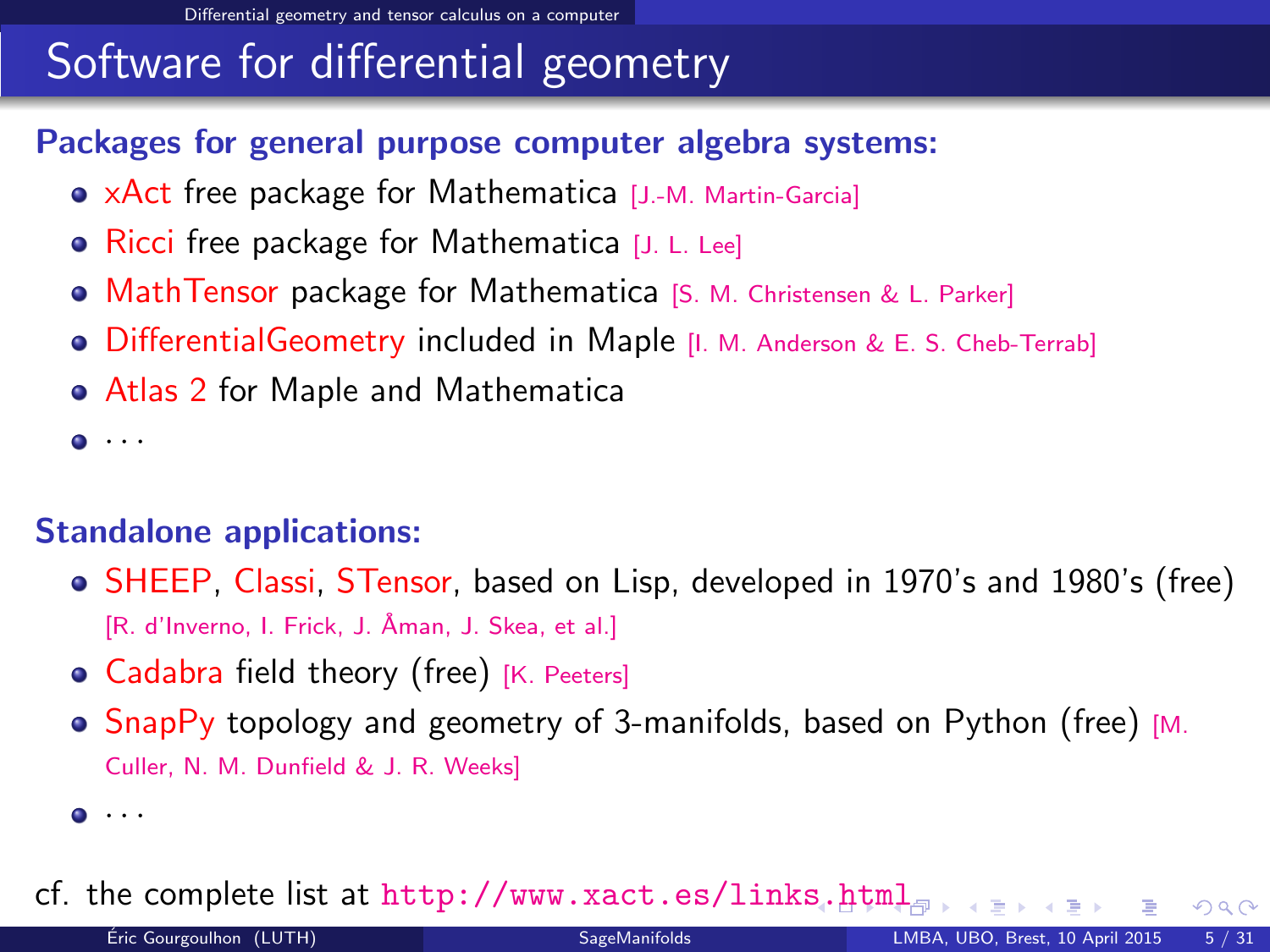# Software for differential geometry

### Packages for general purpose computer algebra systems:

- xAct free package for Mathematica [J.-M. Martin-Garcia]
- Ricci free package for Mathematica [J. L. Lee]
- **MathTensor package for Mathematica [S. M. Christensen & L. Parker]**
- **•** DifferentialGeometry included in Maple [I. M. Anderson & E. S. Cheb-Terrab]
- Atlas 2 for Maple and Mathematica

 $\bullet$   $\cdot$   $\cdot$ 

### Standalone applications:

- SHEEP, Classi, STensor, based on Lisp, developed in 1970's and 1980's (free) [R. d'Inverno, I. Frick, J. Åman, J. Skea, et al.]
- Cadabra field theory (free) [K. Peeters]
- $\bullet$  SnapPy topology and geometry of 3-manifolds, based on Python (free) [M. Culler, N. M. Dunfield & J. R. Weeks]

### cf. the complete list at <http://www.xact.es/links.html>

<span id="page-9-0"></span> $\Omega$ 

 $\bullet$   $\cdots$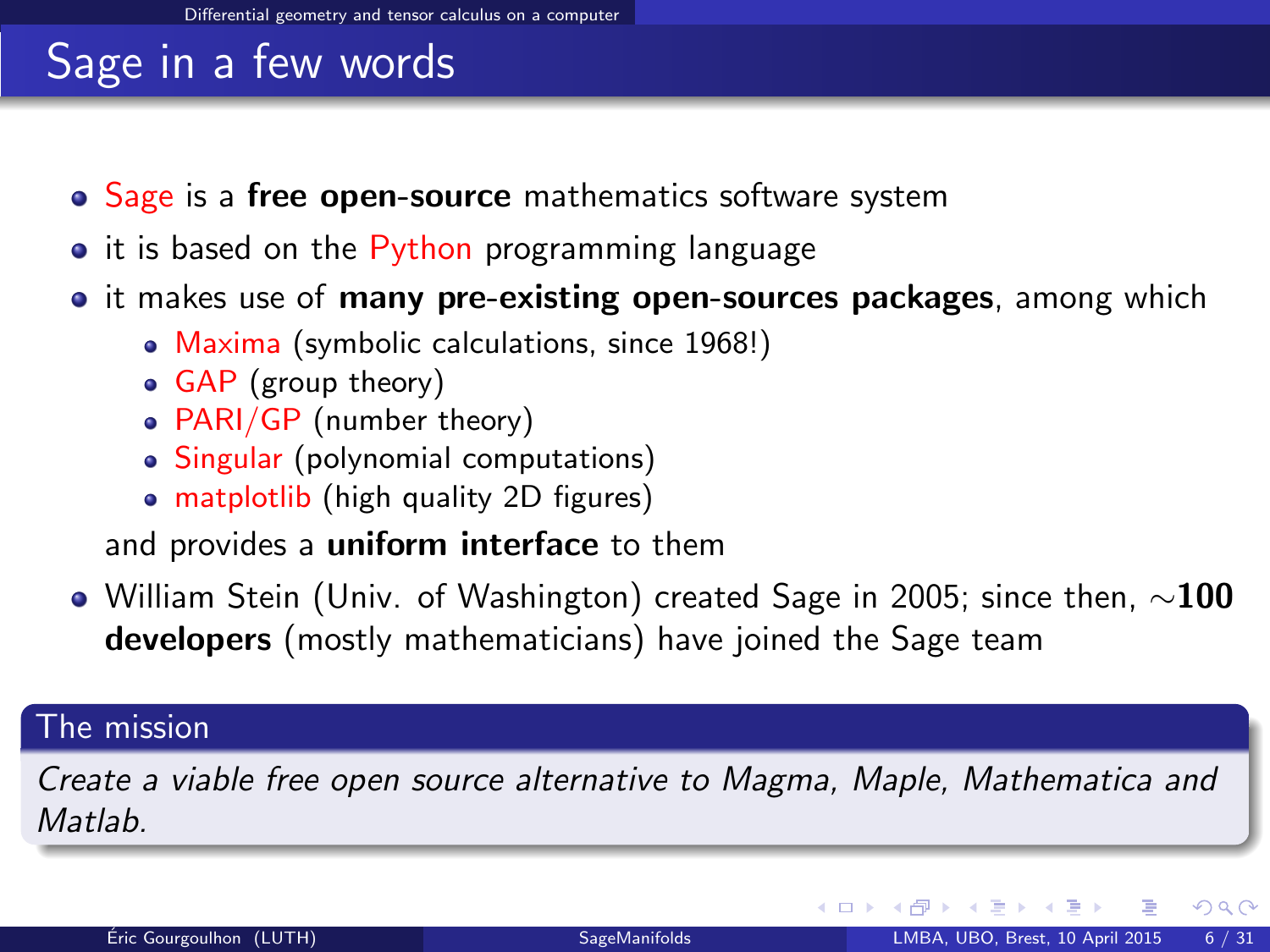# Sage in a few words

- Sage is a free open-source mathematics software system
- it is based on the Python programming language
- it makes use of **many pre-existing open-sources packages**, among which
	- Maxima (symbolic calculations, since 1968!)
	- GAP (group theory)
	- PARI/GP (number theory)
	- Singular (polynomial computations)
	- matplotlib (high quality 2D figures)

and provides a uniform interface to them

 $\bullet$  William Stein (Univ. of Washington) created Sage in 2005; since then,  $\sim$ 100 developers (mostly mathematicians) have joined the Sage team

#### The mission

Create a viable free open source alternative to Magma, Maple, Mathematica and **Matlah** 

<span id="page-10-0"></span> $\Omega$ 

**K ロ ▶ K 何 ▶ K 手**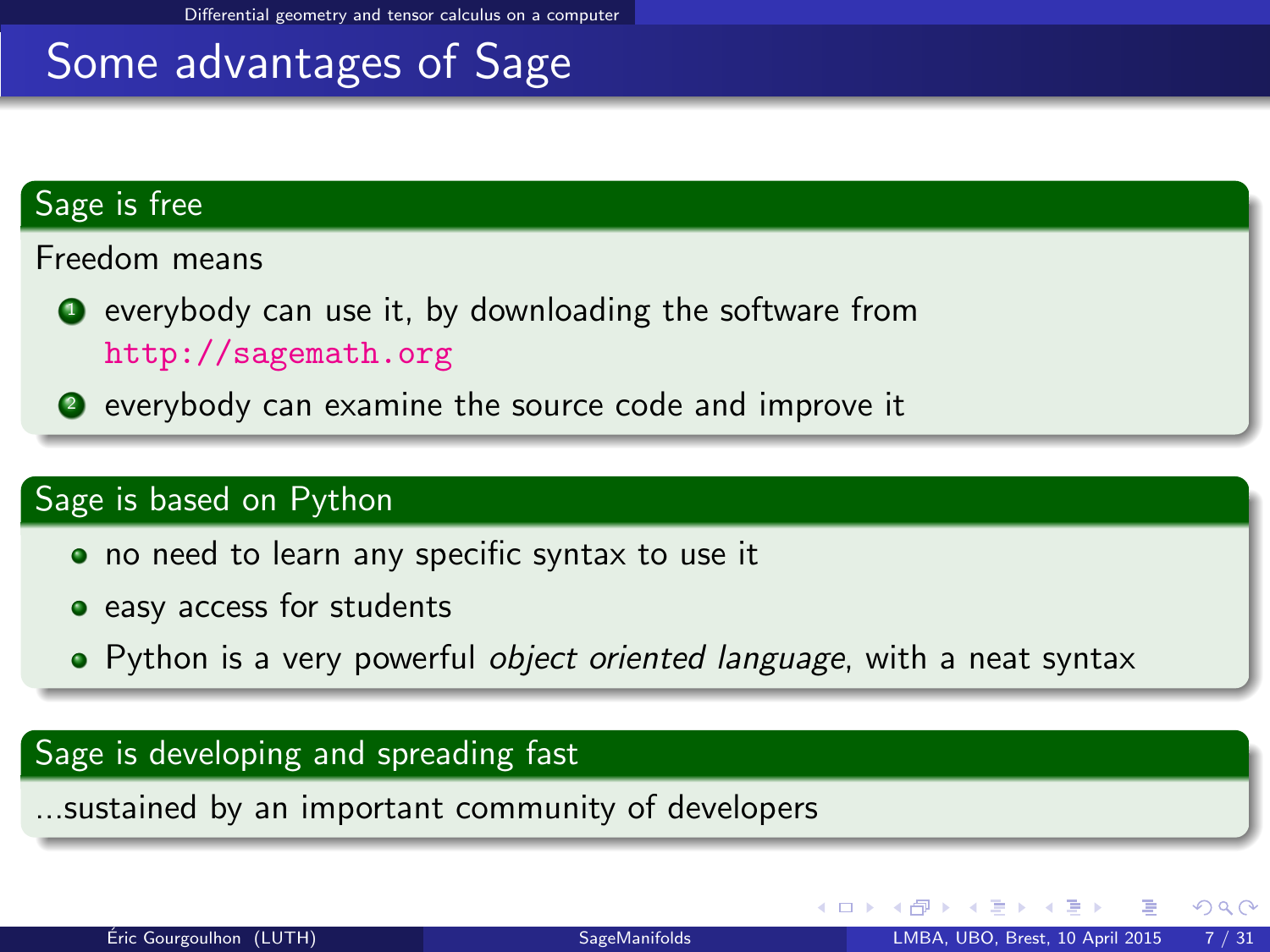[Differential geometry and tensor calculus on a computer](#page-11-0)

### Some advantages of Sage

#### Sage is free

Freedom means

- $\bullet$  everybody can use it, by downloading the software from <http://sagemath.org>
- <sup>2</sup> everybody can examine the source code and improve it

#### Sage is based on Python

- no need to learn any specific syntax to use it
- easy access for students
- Python is a very powerful object oriented language, with a neat syntax

#### Sage is developing and spreading fast

...sustained by an important community of developers

<span id="page-11-0"></span> $\Omega$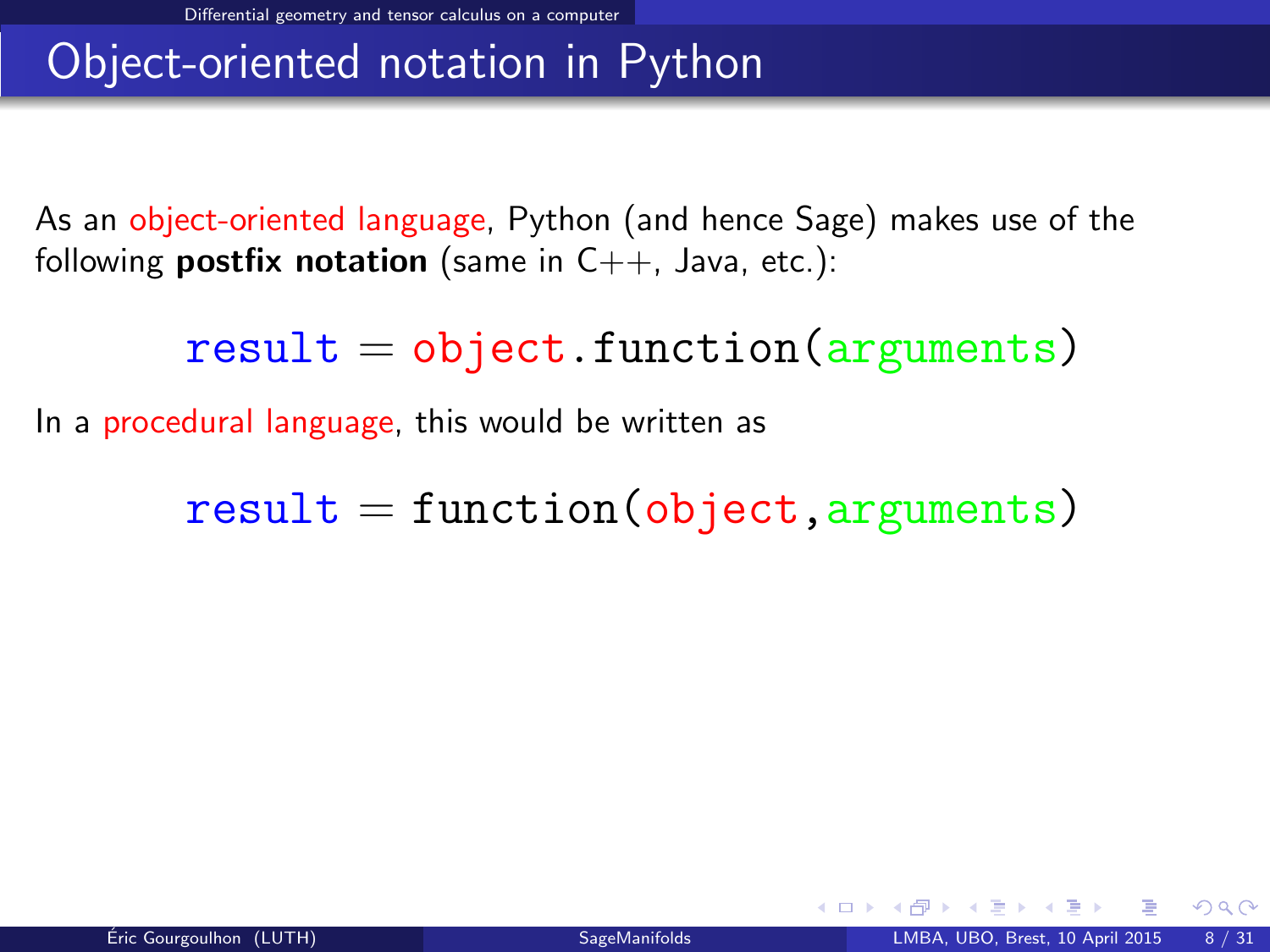### Object-oriented notation in Python

As an object-oriented language, Python (and hence Sage) makes use of the following **postfix notation** (same in  $C_{++}$ , Java, etc.):

 $result = object.function(arguments)$ 

In a procedural language, this would be written as

 $result = function(object, arguments)$ 

<span id="page-12-0"></span> $\Omega$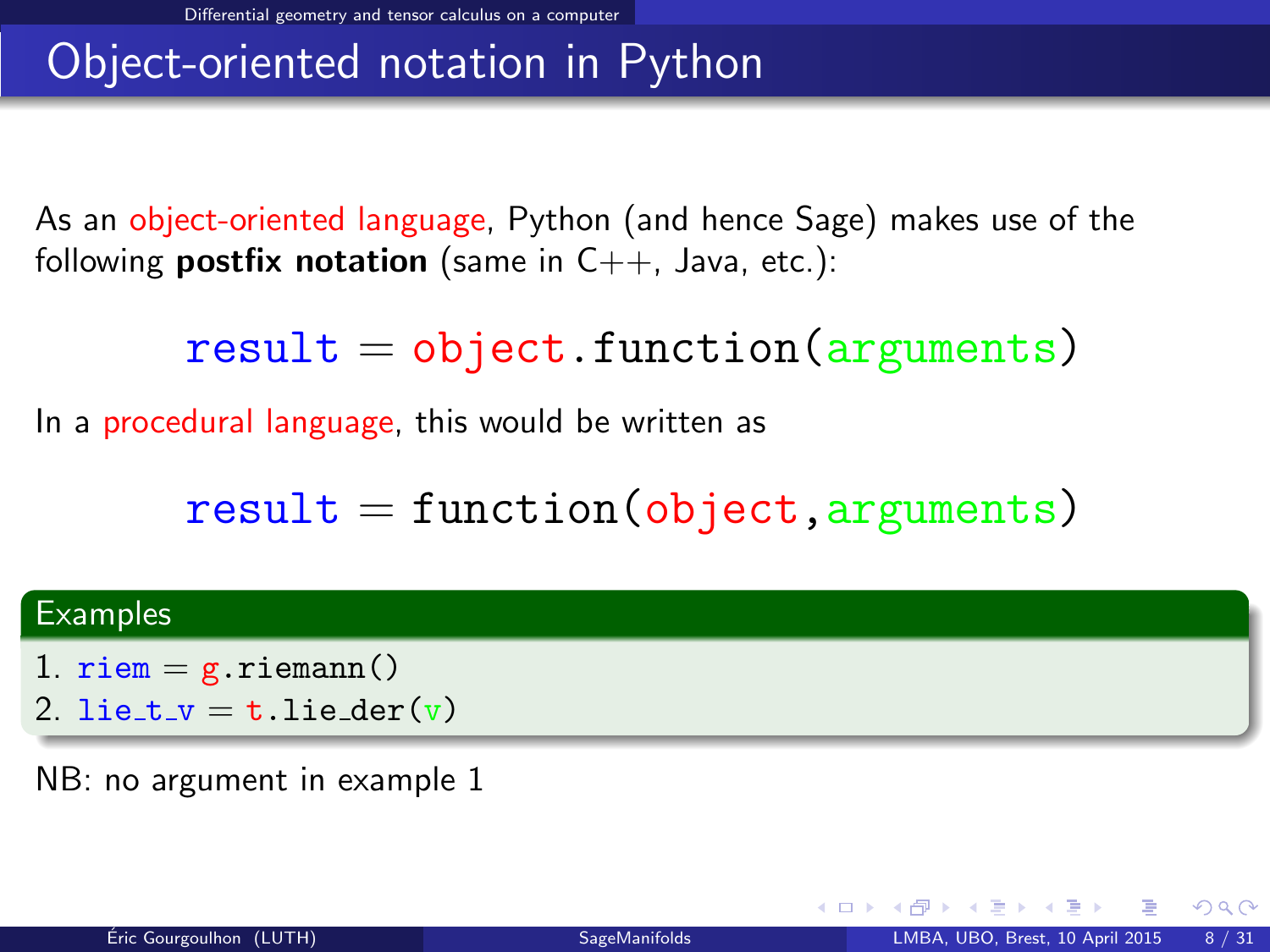# Object-oriented notation in Python

As an object-oriented language, Python (and hence Sage) makes use of the following **postfix notation** (same in  $C_{++}$ , Java, etc.):

 $result = object.function(arguments)$ 

In a procedural language, this would be written as

 $result = function(object, arguments)$ 

#### **Examples**

- 1.  $riem = g.riemann()$
- 2. lie\_t\_v = t.lie\_der(v)

NB: no argument in example 1

<span id="page-13-0"></span> $\Omega$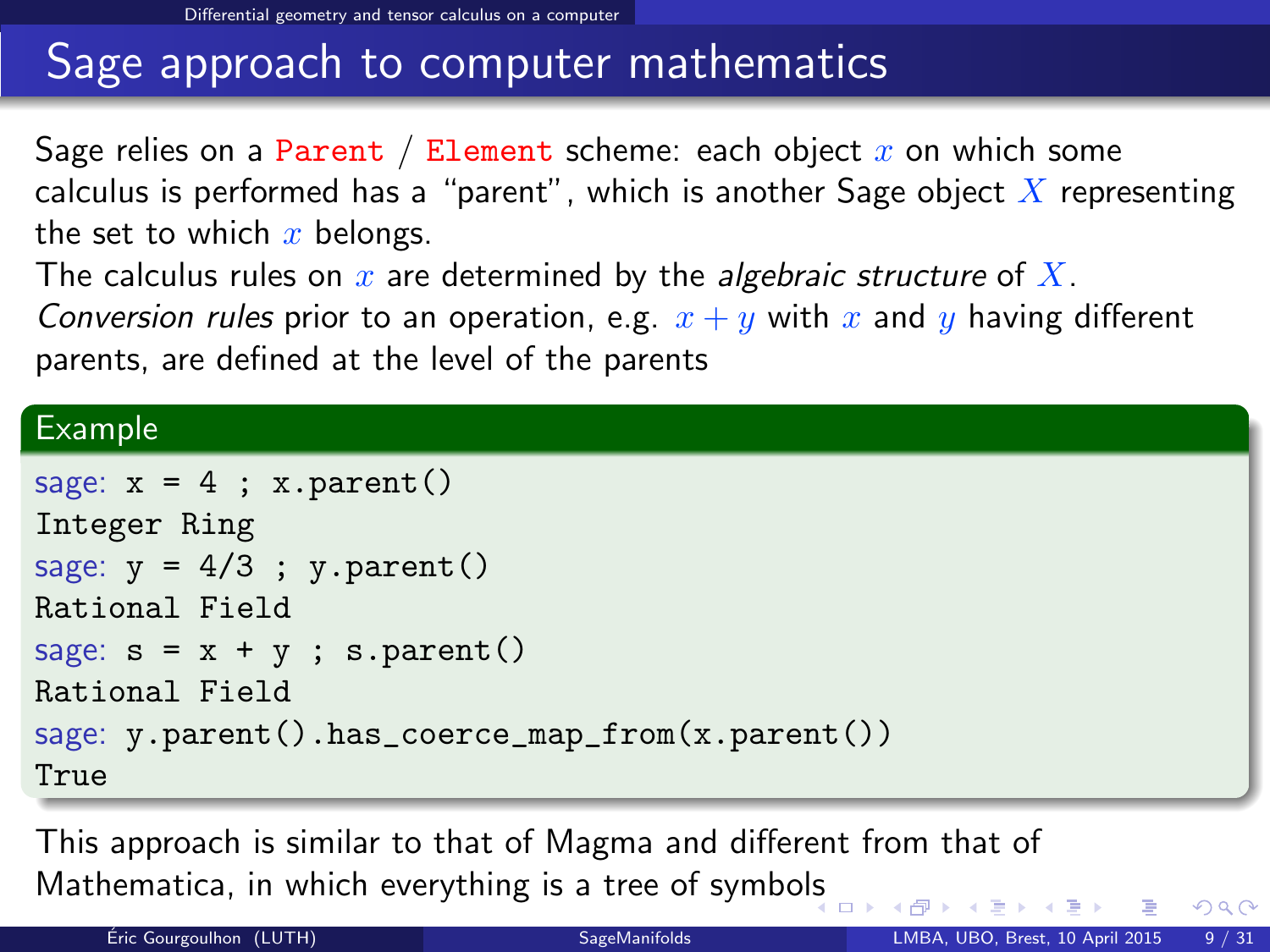# Sage approach to computer mathematics

Sage relies on a Parent / Element scheme: each object  $x$  on which some calculus is performed has a "parent", which is another Sage object  $\overline{X}$  representing the set to which  $x$  belongs.

The calculus rules on  $x$  are determined by the *algebraic structure* of  $X$ .

Conversion rules prior to an operation, e.g.  $x + y$  with x and y having different parents, are defined at the level of the parents

### Example

```
sage: x = 4; x.parent()Integer Ring
sage: y = 4/3; y.parent()Rational Field
sage: s = x + y; s.parent()Rational Field
sage: y.parent().has_coerce_map_from(x.parent())
True
```
This approach is similar to that of Magma and different from that of Mathematica, in which everything is a tree of symbo[ls](#page-13-0)

<span id="page-14-0"></span> $QQ$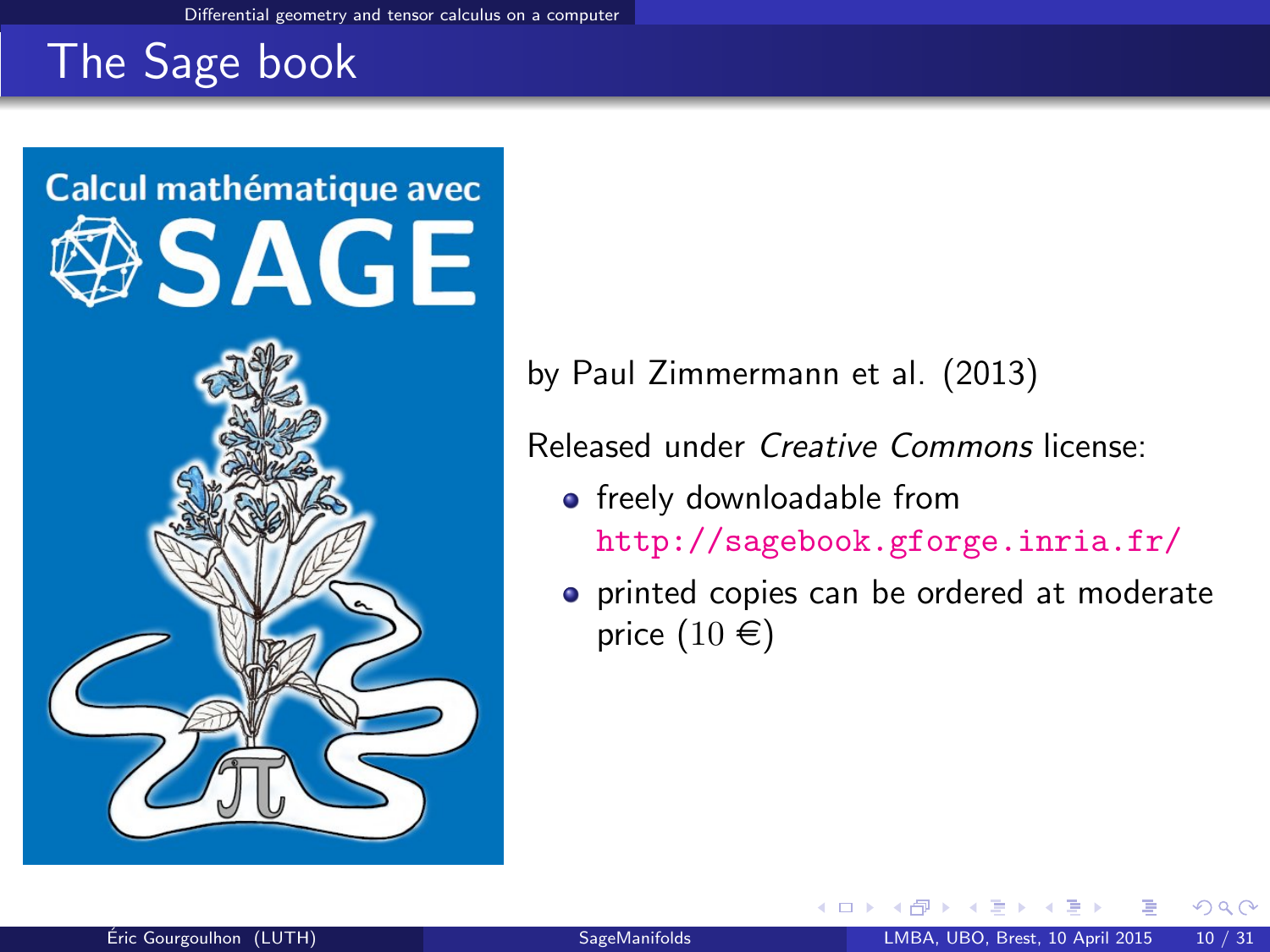# The Sage book



by Paul Zimmermann et al. (2013)

Released under Creative Commons license:

4 0 8

- **•** freely downloadable from <http://sagebook.gforge.inria.fr/>
- **•** printed copies can be ordered at moderate price  $(10 \in)$

<span id="page-15-0"></span> $\Omega$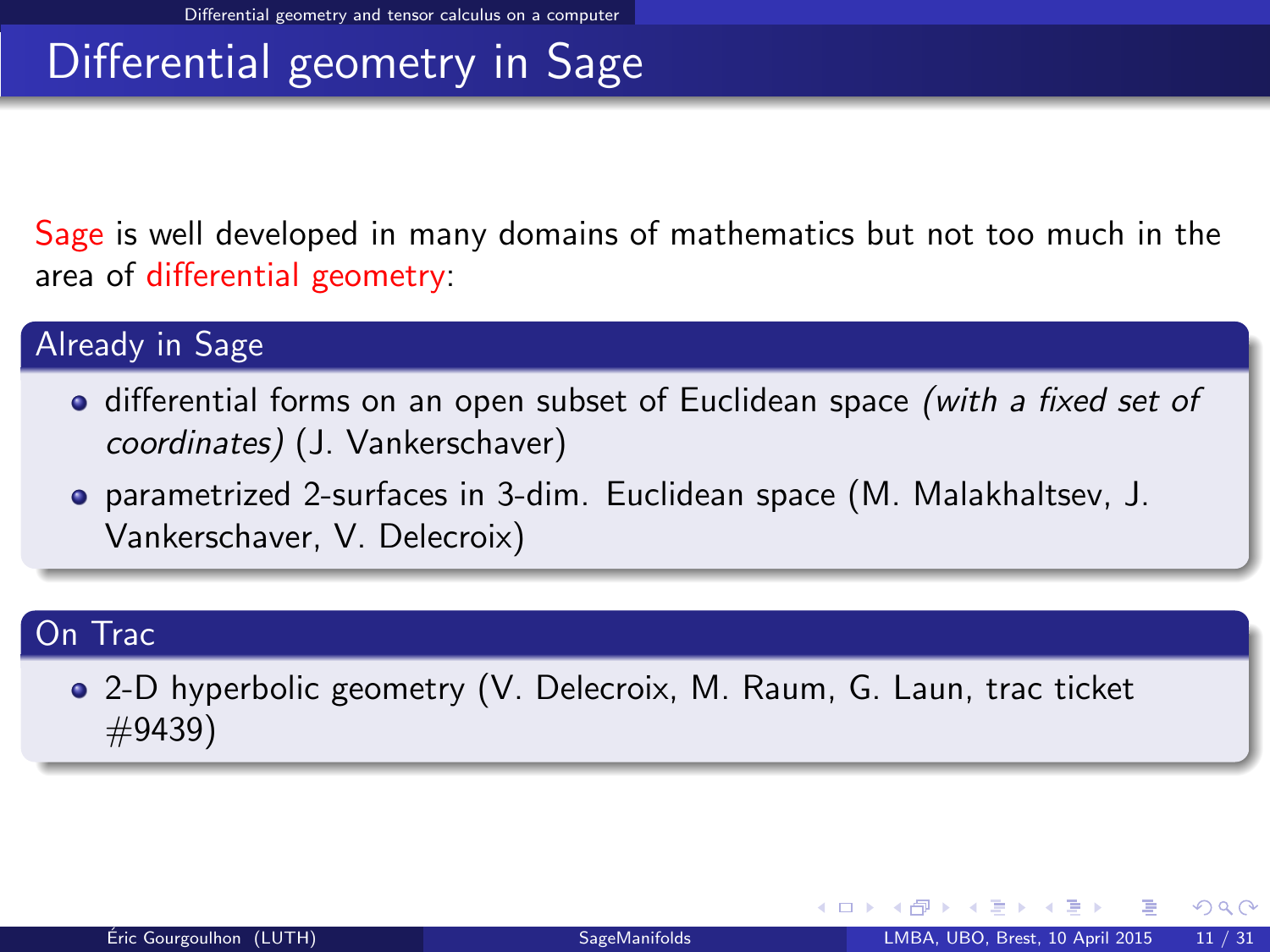# Differential geometry in Sage

Sage is well developed in many domains of mathematics but not too much in the area of differential geometry:

#### Already in Sage

- differential forms on an open subset of Euclidean space (with a fixed set of coordinates) (J. Vankerschaver)
- parametrized 2-surfaces in 3-dim. Euclidean space (M. Malakhaltsev, J. Vankerschaver, V. Delecroix)

#### On Trac

2-D hyperbolic geometry (V. Delecroix, M. Raum, G. Laun, trac ticket #9439)

<span id="page-16-0"></span> $\Omega$ 

イロト イ押ト イヨト イ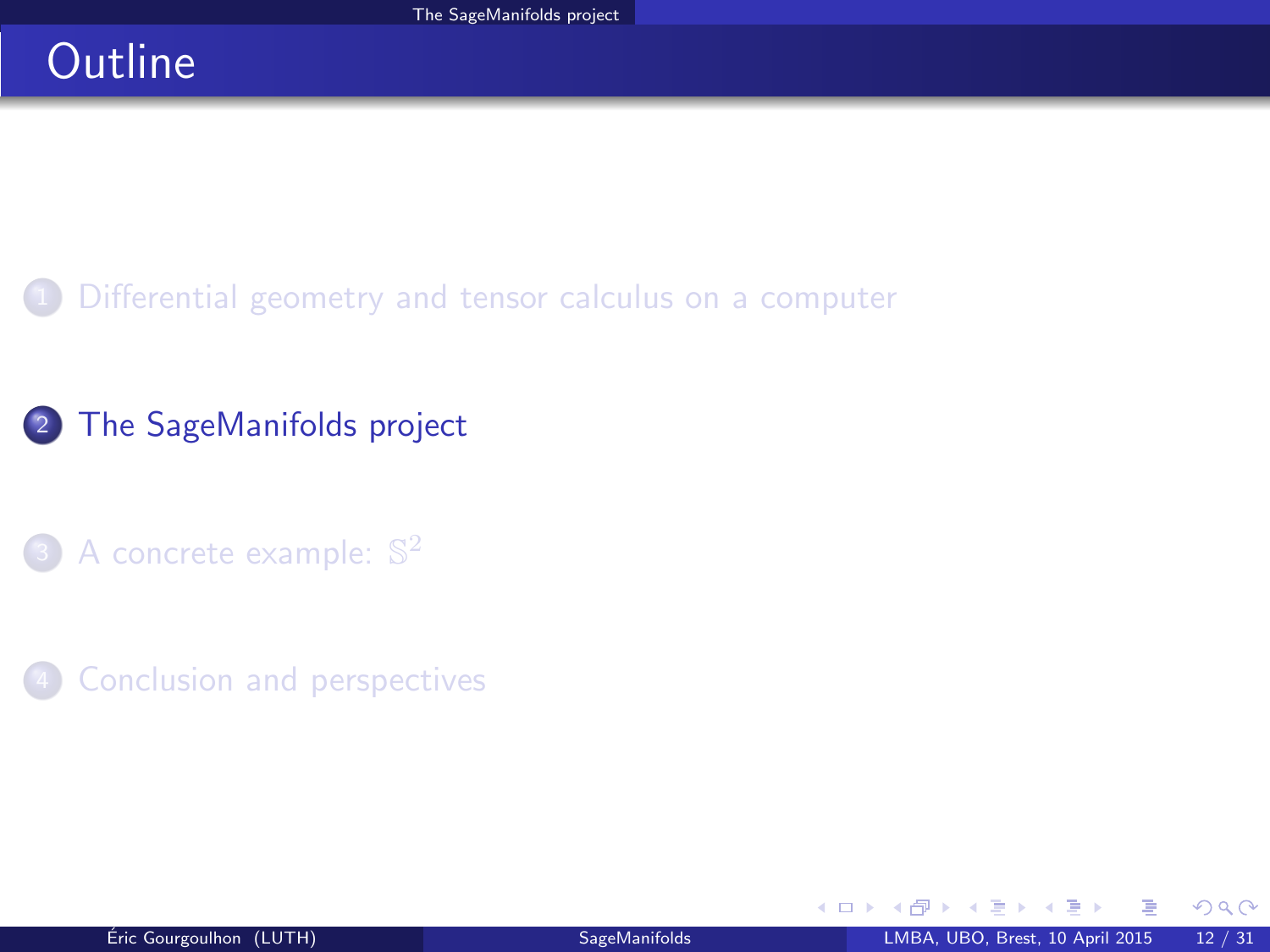# **Outline**

[Differential geometry and tensor calculus on a computer](#page-2-0)

### <sup>2</sup> [The SageManifolds project](#page-17-0)

- 3 [A concrete example:](#page-38-0)  $\mathbb{S}^2$
- **[Conclusion and perspectives](#page-40-0)**

<span id="page-17-0"></span> $298$ 

4 0 8 4

**SIL** 舌  $\sim$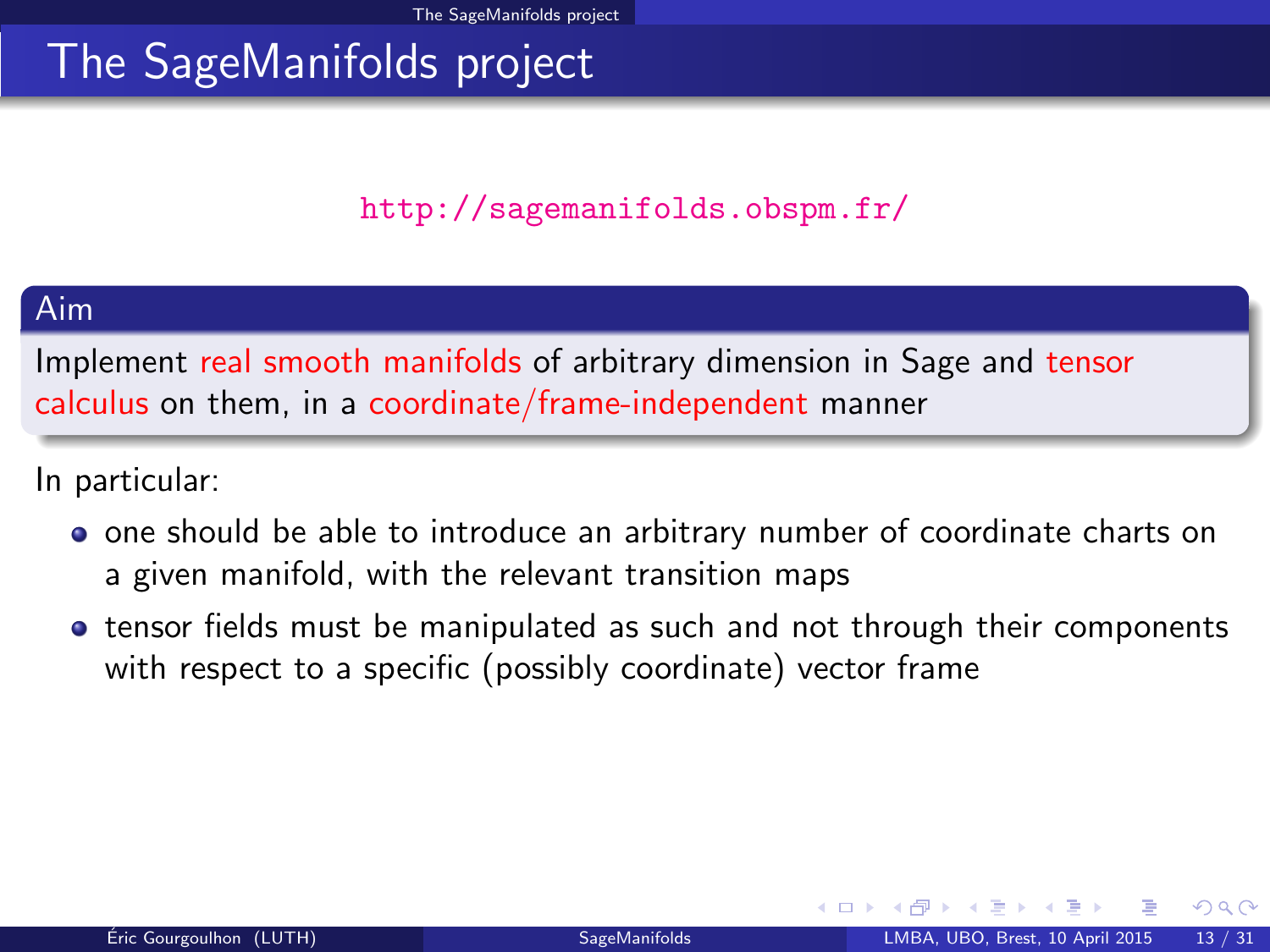### <http://sagemanifolds.obspm.fr/>

#### Aim

Implement real smooth manifolds of arbitrary dimension in Sage and tensor calculus on them, in a coordinate/frame-independent manner

In particular:

- one should be able to introduce an arbitrary number of coordinate charts on a given manifold, with the relevant transition maps
- tensor fields must be manipulated as such and not through their components with respect to a specific (possibly coordinate) vector frame

<span id="page-18-0"></span> $\Omega$ 

**4 ロ ト 4 何 ト 4**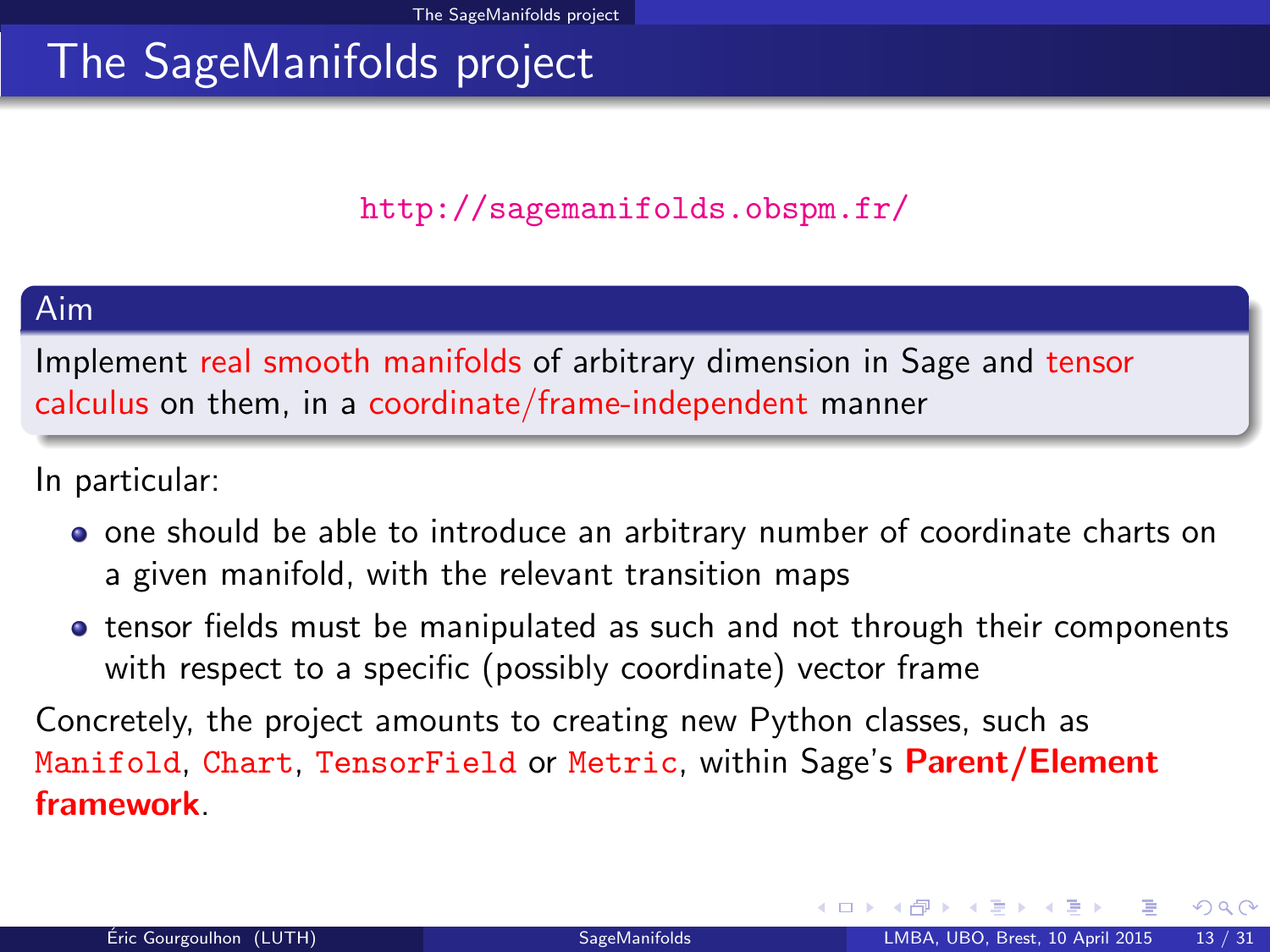### <http://sagemanifolds.obspm.fr/>

#### Aim

Implement real smooth manifolds of arbitrary dimension in Sage and tensor calculus on them, in a coordinate/frame-independent manner

In particular:

- one should be able to introduce an arbitrary number of coordinate charts on a given manifold, with the relevant transition maps
- tensor fields must be manipulated as such and not through their components with respect to a specific (possibly coordinate) vector frame

Concretely, the project amounts to creating new Python classes, such as Manifold, Chart, TensorField or Metric, within Sage's Parent/Element framework.

<span id="page-19-0"></span> $\Omega$ 

**K ロ ト K 何 ト K ヨ ト K**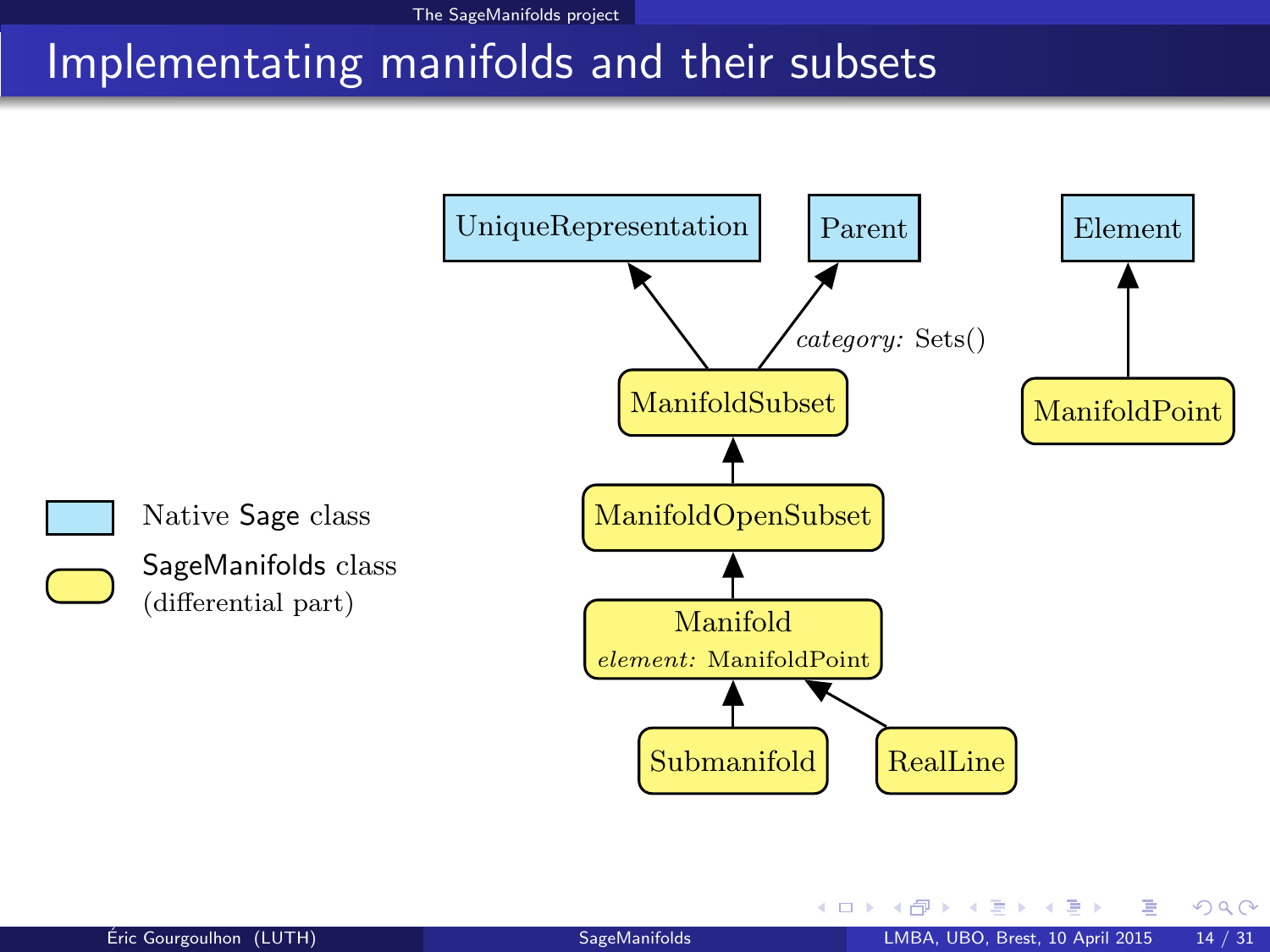### Implementating manifolds and their subsets



<span id="page-20-0"></span>4 0 8 4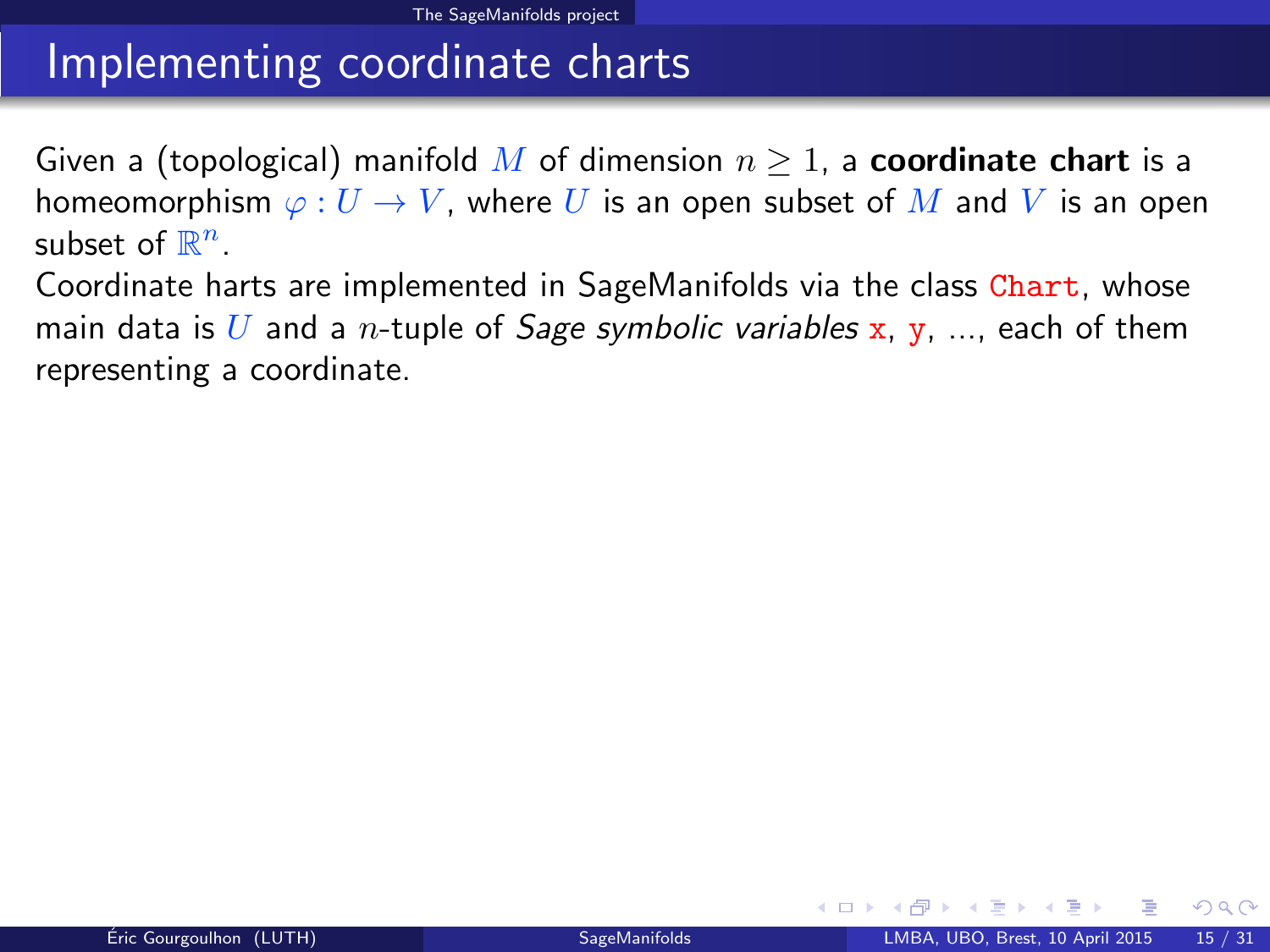### Implementing coordinate charts

Given a (topological) manifold M of dimension  $n \geq 1$ , a **coordinate chart** is a homeomorphism  $\varphi: U \to V$ , where U is an open subset of M and V is an open subset of  $\mathbb{R}^n$ .

Coordinate harts are implemented in SageManifolds via the class Chart, whose main data is U and a *n*-tuple of *Sage symbolic variables* x, y, ..., each of them representing a coordinate.

<span id="page-21-0"></span> $\Omega$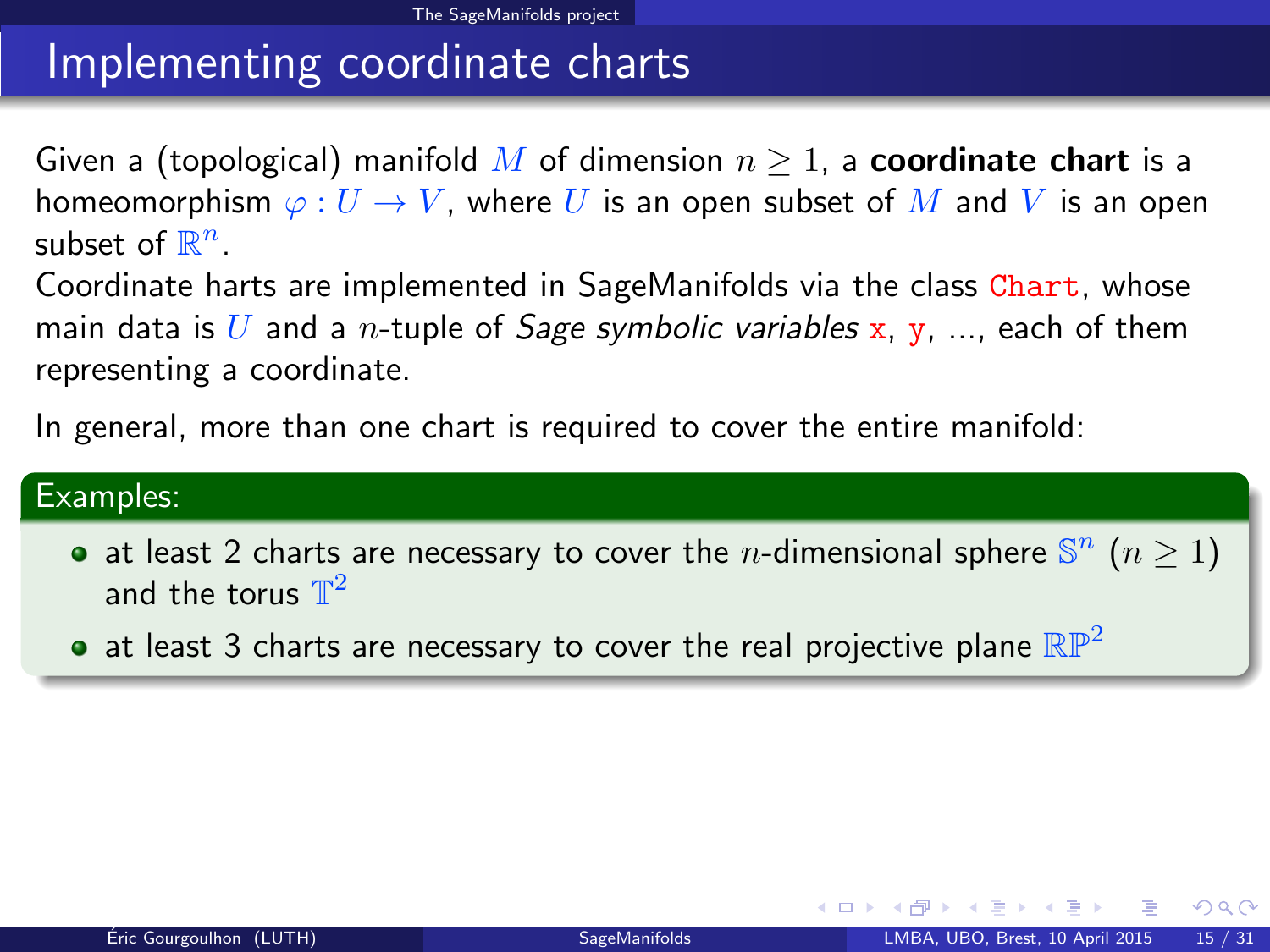### Implementing coordinate charts

Given a (topological) manifold M of dimension  $n \geq 1$ , a **coordinate chart** is a homeomorphism  $\varphi: U \to V$ , where U is an open subset of M and V is an open subset of  $\mathbb{R}^n$ .

Coordinate harts are implemented in SageManifolds via the class Chart, whose main data is U and a *n*-tuple of *Sage symbolic variables* x, y, ..., each of them representing a coordinate.

In general, more than one chart is required to cover the entire manifold:

#### Examples:

- at least 2 charts are necessary to cover the *n*-dimensional sphere  $\mathbb{S}^n$  ( $n \ge 1$ ) and the torus  $\mathbb{T}^2$
- $\bullet$  at least 3 charts are necessary to cover the real projective plane  $\mathbb{RP}^2$

<span id="page-22-0"></span> $\Omega$ 

**K ロ ト K 何 ト K ヨ ト K**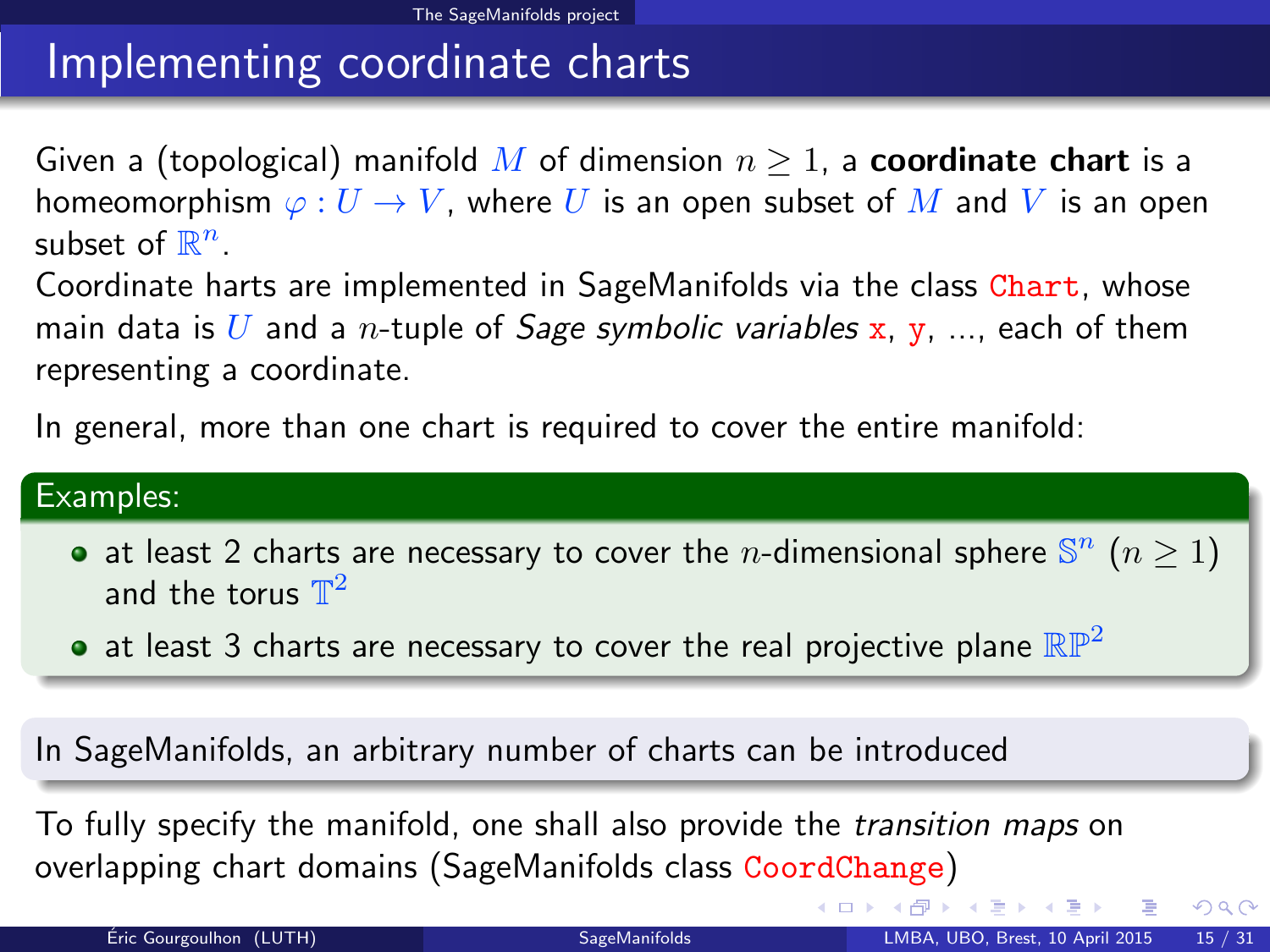# Implementing coordinate charts

Given a (topological) manifold M of dimension  $n \geq 1$ , a **coordinate chart** is a homeomorphism  $\varphi: U \to V$ , where U is an open subset of M and V is an open subset of  $\mathbb{R}^n$ .

Coordinate harts are implemented in SageManifolds via the class Chart, whose main data is U and a *n*-tuple of *Sage symbolic variables* x, y, ..., each of them representing a coordinate.

In general, more than one chart is required to cover the entire manifold:

#### Examples:

- at least 2 charts are necessary to cover the *n*-dimensional sphere  $\mathbb{S}^n$  ( $n \ge 1$ ) and the torus  $\mathbb{T}^2$
- at least 3 charts are necessary to cover the real projective plane  $\mathbb{RP}^2$

In SageManifolds, an arbitrary number of charts can be introduced

To fully specify the manifold, one shall also provide the transition maps on overlapping chart domains (SageManifolds class CoordChange)

<span id="page-23-0"></span> $QQ$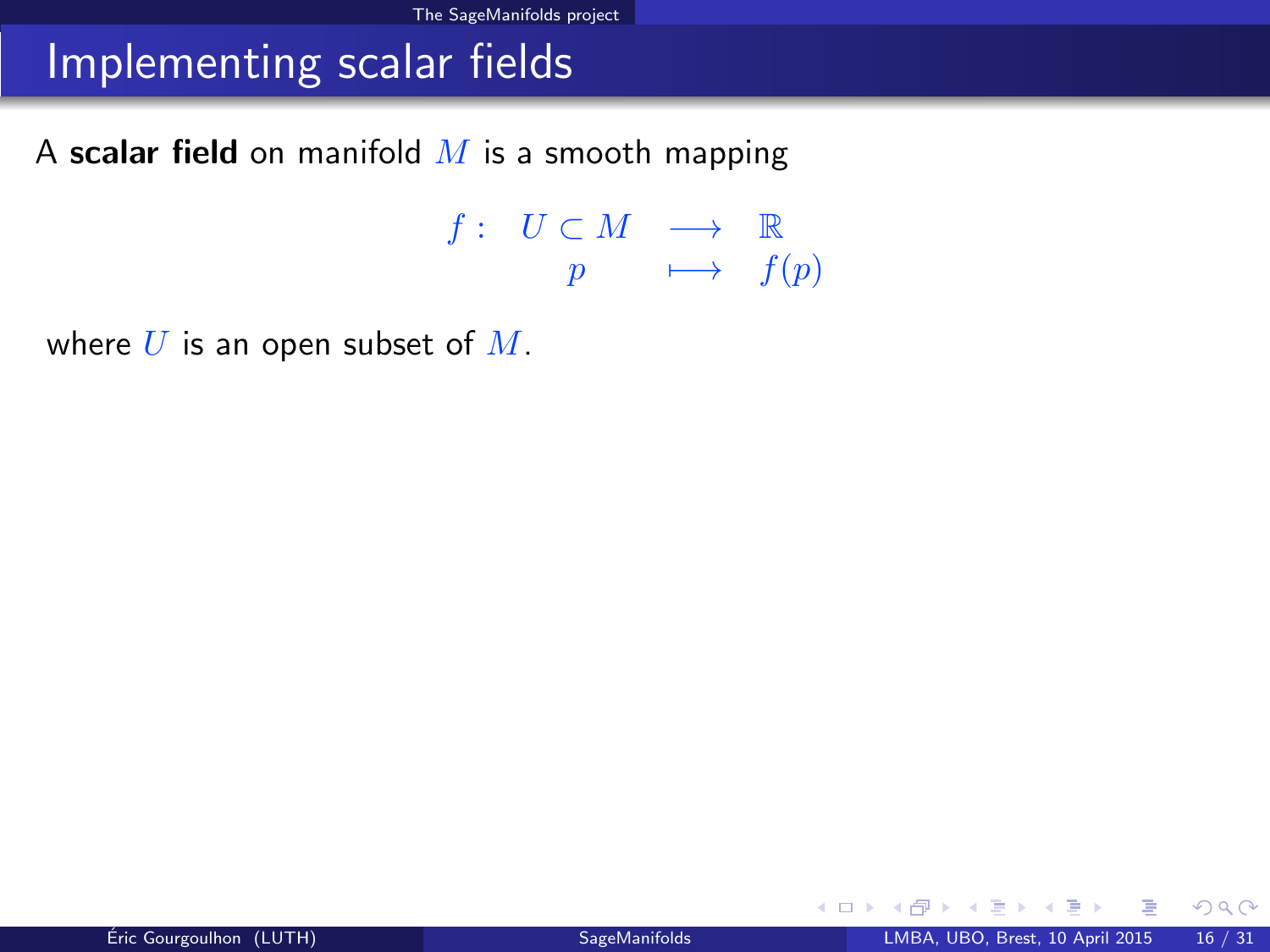### Implementing scalar fields

A scalar field on manifold  $M$  is a smooth mapping

 $f: U \subset M \longrightarrow \mathbb{R}$  $p \longrightarrow f(p)$ 

where  $U$  is an open subset of  $M$ .

<span id="page-24-0"></span> $299$ 

メロト メ何ト メミト メミト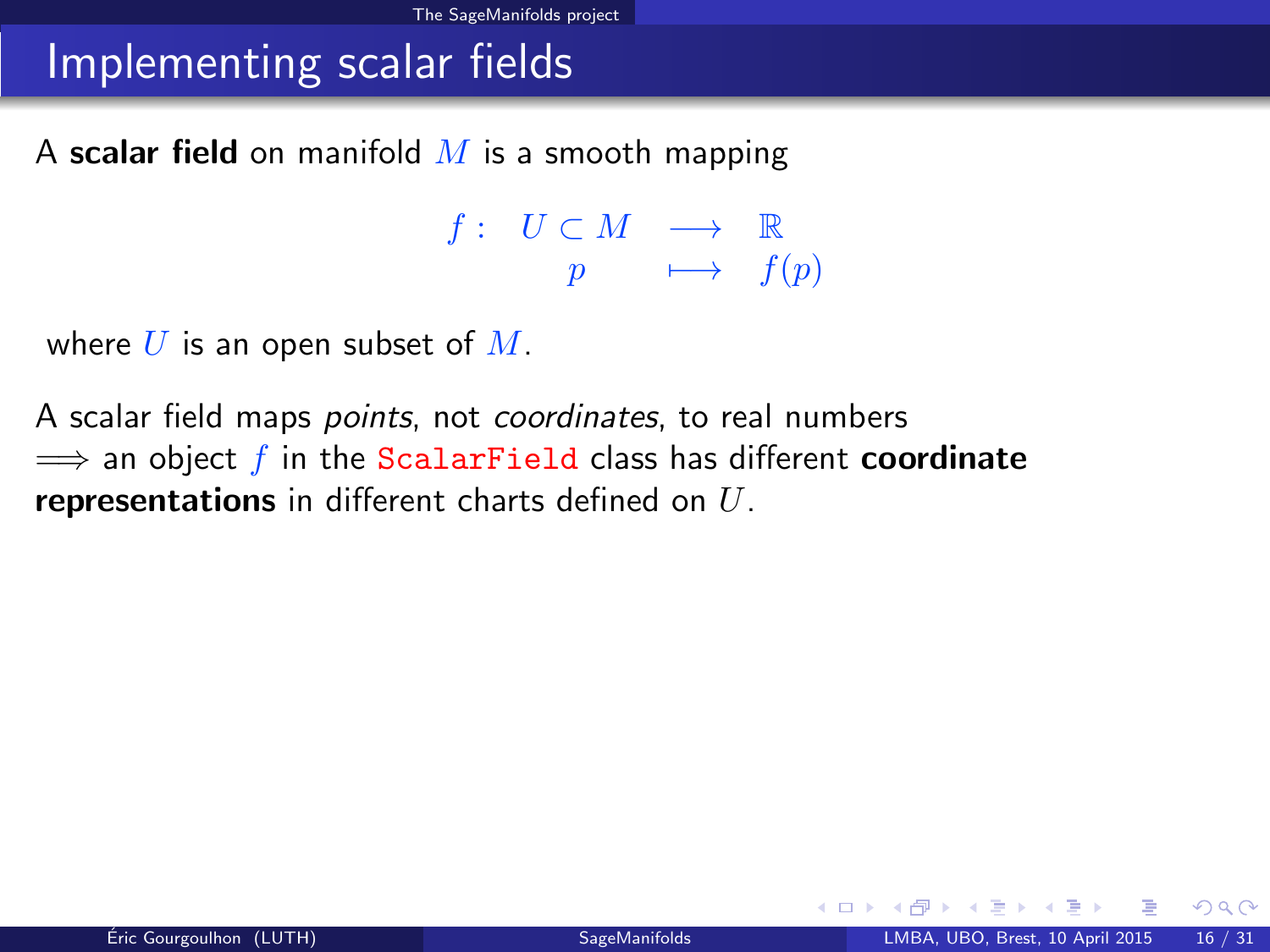### Implementing scalar fields

A scalar field on manifold  $M$  is a smooth mapping

 $f: U \subset M \longrightarrow \mathbb{R}$  $p \longrightarrow f(p)$ 

where  $U$  is an open subset of  $M$ .

A scalar field maps *points*, not *coordinates*, to real numbers  $\implies$  an object f in the ScalarField class has different **coordinate** representations in different charts defined on  $U$ .

<span id="page-25-0"></span> $\Omega$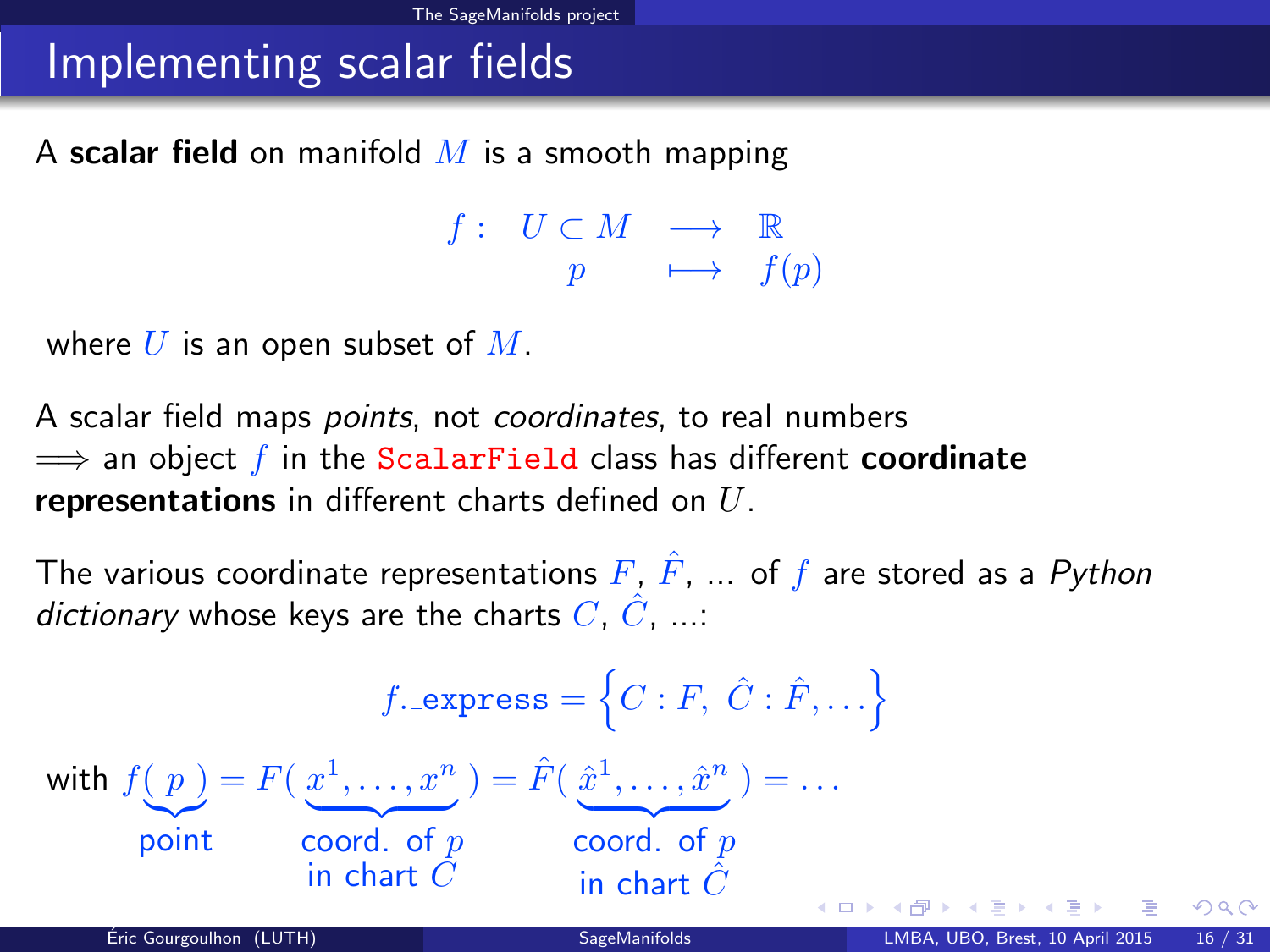### Implementing scalar fields

A scalar field on manifold  $M$  is a smooth mapping

<span id="page-26-0"></span> $f: U \subset M \longrightarrow \mathbb{R}$  $p \longrightarrow f(p)$ 

where  $U$  is an open subset of  $M$ .

A scalar field maps *points*, not *coordinates*, to real numbers  $\implies$  an object f in the ScalarField class has different coordinate representations in different charts defined on  $U$ .

The various coordinate representations  $F, \hat{F}, \dots$  of f are stored as a Python dictionary whose keys are the charts  $C, \hat{C}, \dots$ 

$$
f.\text{express} = \left\{C : F, \ C : \hat{F}, \dots\right\}
$$
\n
$$
\text{with } f(p) = F\left(\frac{x^1}{\dots}, \frac{x^n}{\dots}\right) = \hat{F}\left(\frac{\hat{x}^1}{\dots}, \frac{\hat{x}^n}{\dots}\right) = \dots
$$
\n
$$
\text{point} \quad \text{coord. of } p \quad \text{coord. of } p \quad \text{in chart } \hat{C}
$$
\n
$$
\text{Eiric Gourgoulhon (LUTH)} \quad \text{SagelManifolds} \quad \text{LMBO, B rest, 10 April 2015} \quad \text{16 / 31}
$$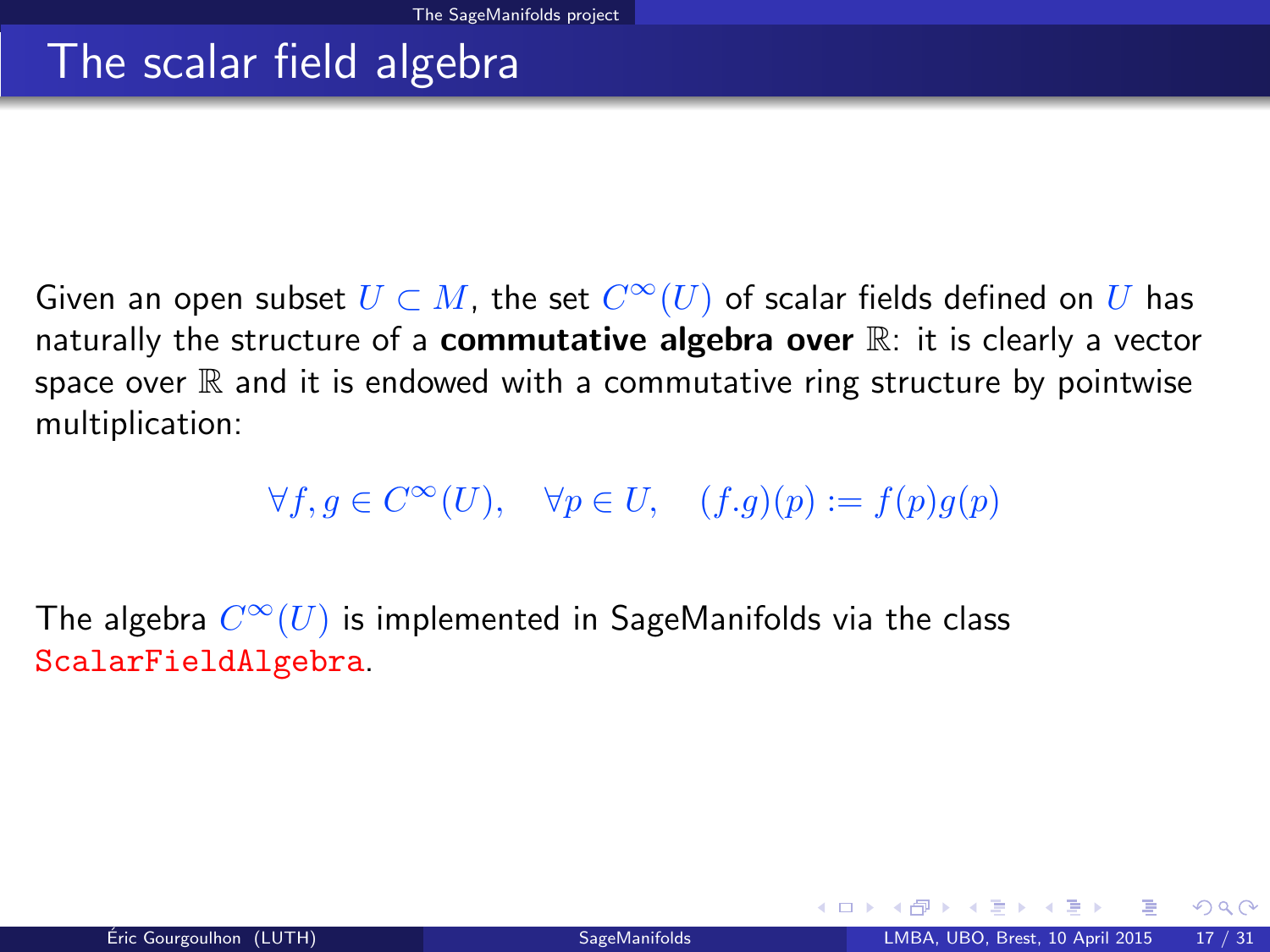### The scalar field algebra

Given an open subset  $U \subset M$ , the set  $C^\infty(U)$  of scalar fields defined on  $U$  has naturally the structure of a **commutative algebra over**  $\mathbb{R}$ : it is clearly a vector space over  $\mathbb R$  and it is endowed with a commutative ring structure by pointwise multiplication:

 $\forall f, g \in C^{\infty}(U), \quad \forall p \in U, \quad (f.g)(p) := f(p)g(p)$ 

The algebra  $C^\infty(U)$  is implemented in SageManifolds via the class ScalarFieldAlgebra.

<span id="page-27-0"></span> $\Omega$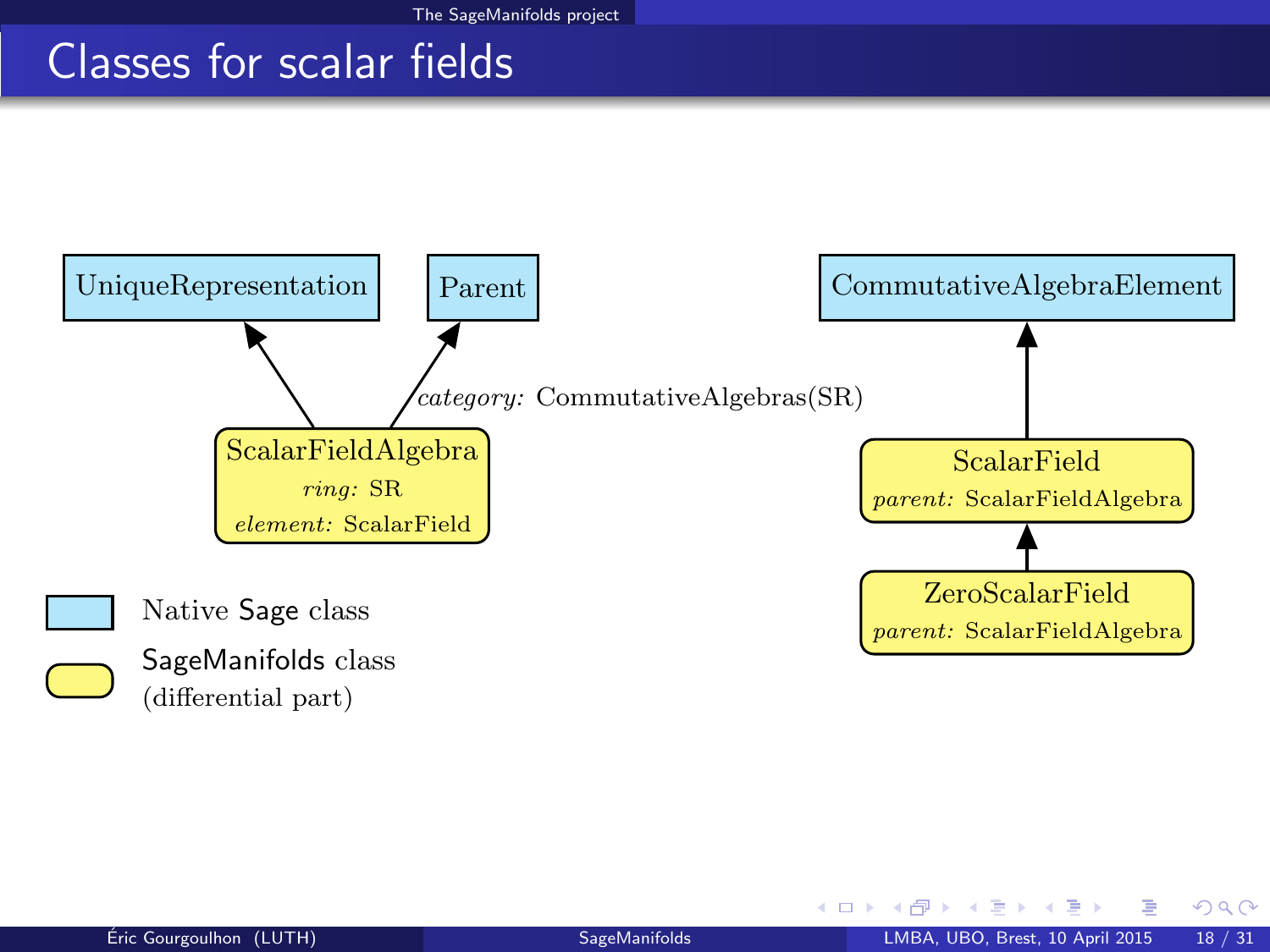### Classes for scalar fields



<span id="page-28-0"></span> $298$ 

**← ロ ▶ → イ 同**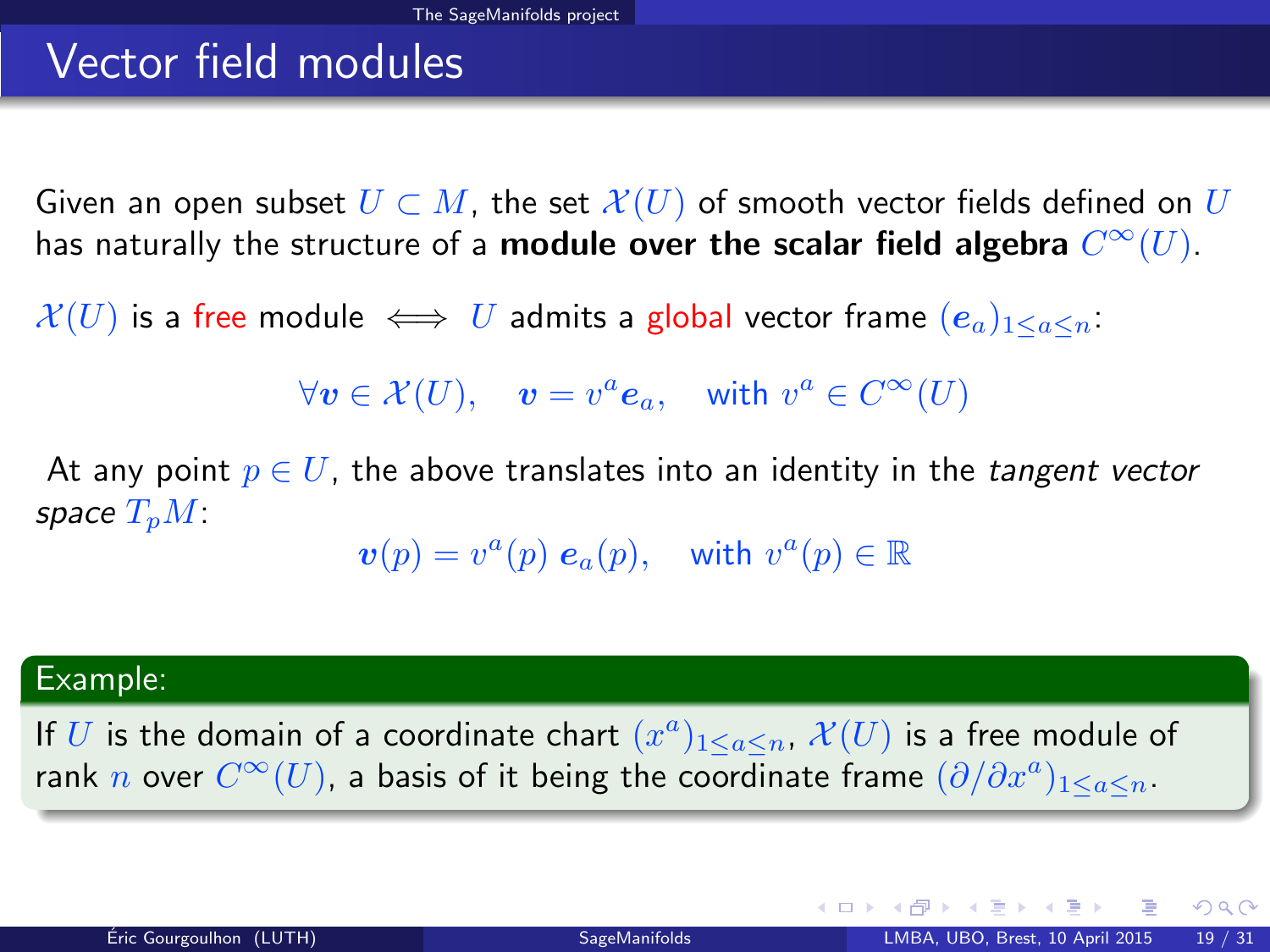# Vector field modules

Given an open subset  $U \subset M$ , the set  $\mathcal{X}(U)$  of smooth vector fields defined on U has naturally the structure of a **module over the scalar field algebra**  $C^\infty(U).$ 

 $\mathcal{X}(U)$  is a free module  $\iff U$  admits a global vector frame  $(e_a)_{1\leq a\leq n}$ .

 $\forall v \in \mathcal{X}(U), \quad v = v^a \mathbf{e}_a, \quad \text{with } v^a \in C^\infty(U)$ 

At any point  $p \in U$ , the above translates into an identity in the *tangent vector* space  $T_pM$ :

 $\boldsymbol{v}(p) = v^a(p) \; \boldsymbol{e}_a(p), \quad \text{with } v^a(p) \in \mathbb{R}$ 

#### Example:

If U is the domain of a coordinate chart  $(x^a)_{1\leq a\leq n}$ ,  $\mathcal{X}(U)$  is a free module of rank  $n$  over  $C^\infty(U)$ , a basis of it being the coordinate frame  $(\partial/\partial x^a)_{1\leq a\leq n}.$ 

<span id="page-29-0"></span> $QQ$ 

メロト メ何ト メミト メミト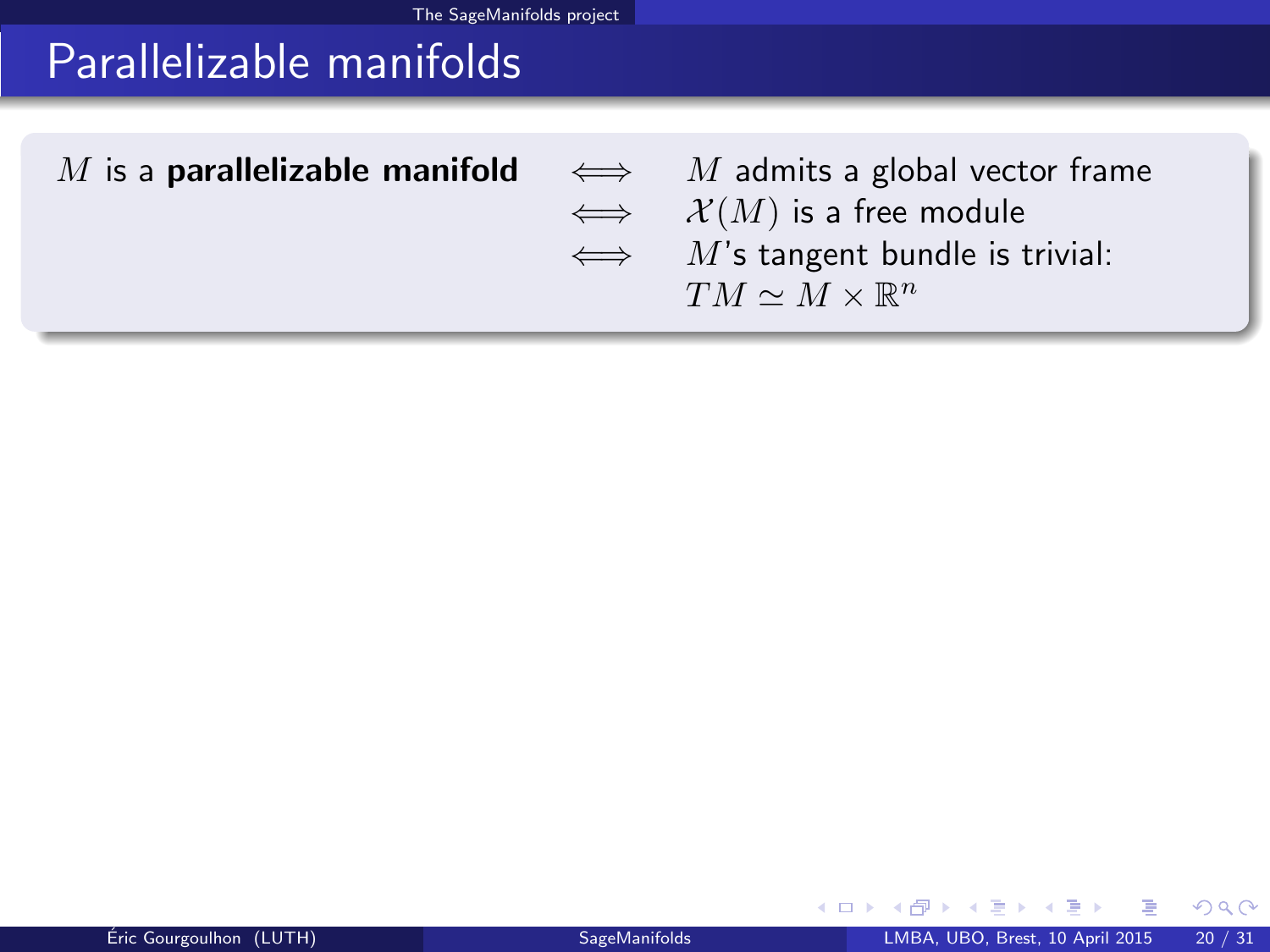# Parallelizable manifolds

| M is a <b>parallelizable manifold</b> $\iff$ M admits a global vector frame |                                          |
|-----------------------------------------------------------------------------|------------------------------------------|
|                                                                             | $\iff$ $\mathcal{X}(M)$ is a free module |
|                                                                             | $\iff$ M's tangent bundle is trivial:    |
|                                                                             | $TM \sim M \times \mathbb{R}^n$          |
|                                                                             |                                          |

**≮ロ ▶ ⊀ 伊 ▶** 

 $\mathcal{A}$ э  $\sim$  <span id="page-30-0"></span> $299$ 

ŧ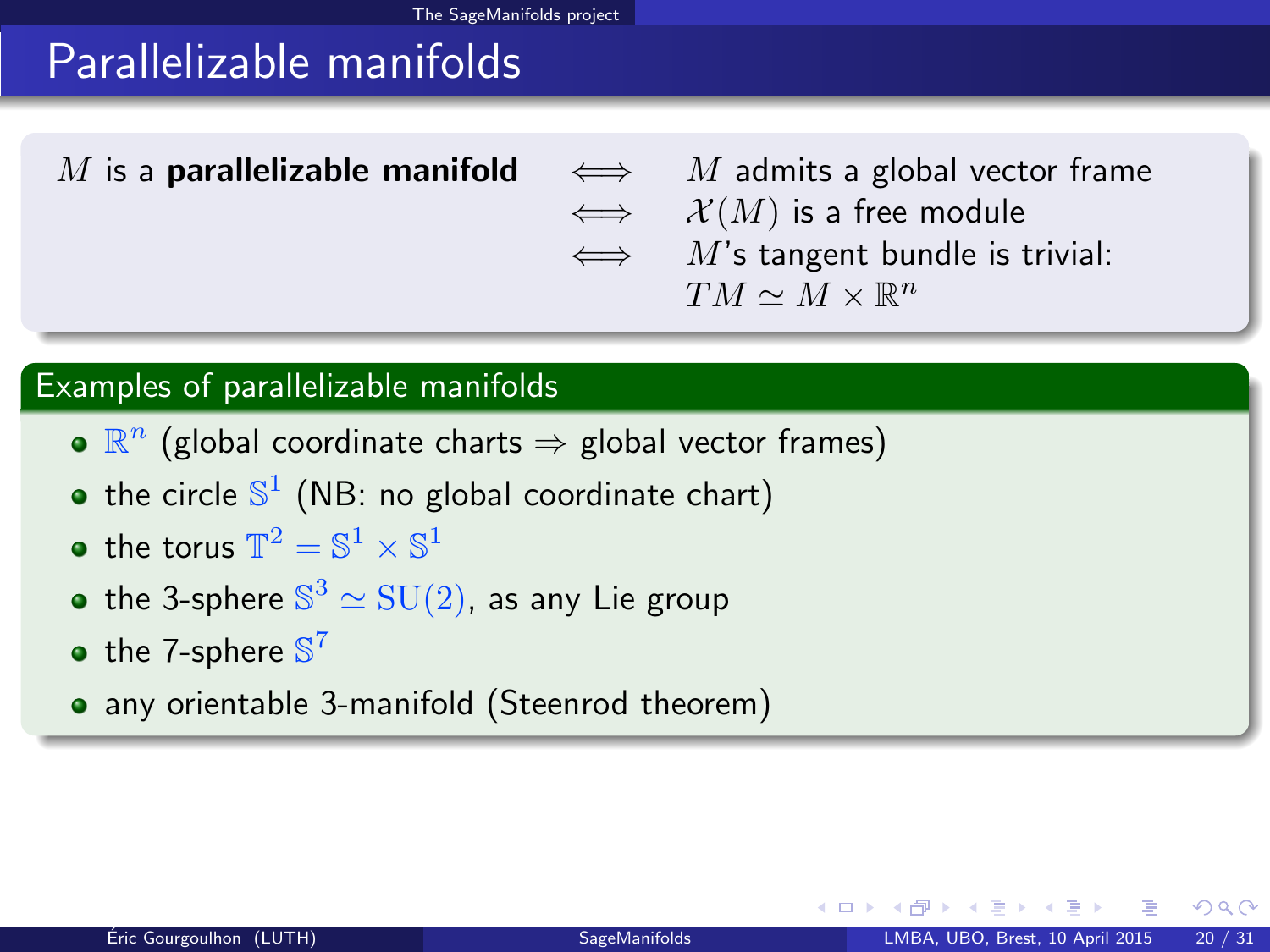# Parallelizable manifolds

M is a **parallelizable manifold**  $\iff$  M admits a global vector frame  $\iff$   $\mathcal{X}(M)$  is a free module  $\iff$  M's tangent bundle is trivial:  $TM \simeq M \times \mathbb{R}^n$ 

### Examples of parallelizable manifolds

- $\mathbb{R}^n$  (global coordinate charts  $\Rightarrow$  global vector frames)
- the circle  $\mathbb{S}^1$  (NB: no global coordinate chart)
- the torus  $\mathbb{T}^2 = \mathbb{S}^1 \times \mathbb{S}^1$
- the 3-sphere  $\mathbb{S}^3 \simeq \mathrm{SU}(2)$ , as any Lie group
- the 7-sphere  $\mathbb{S}^7$
- any orientable 3-manifold (Steenrod theorem)

<span id="page-31-0"></span> $\Omega$ 

◂<del>◻▸ кฅ</del>▸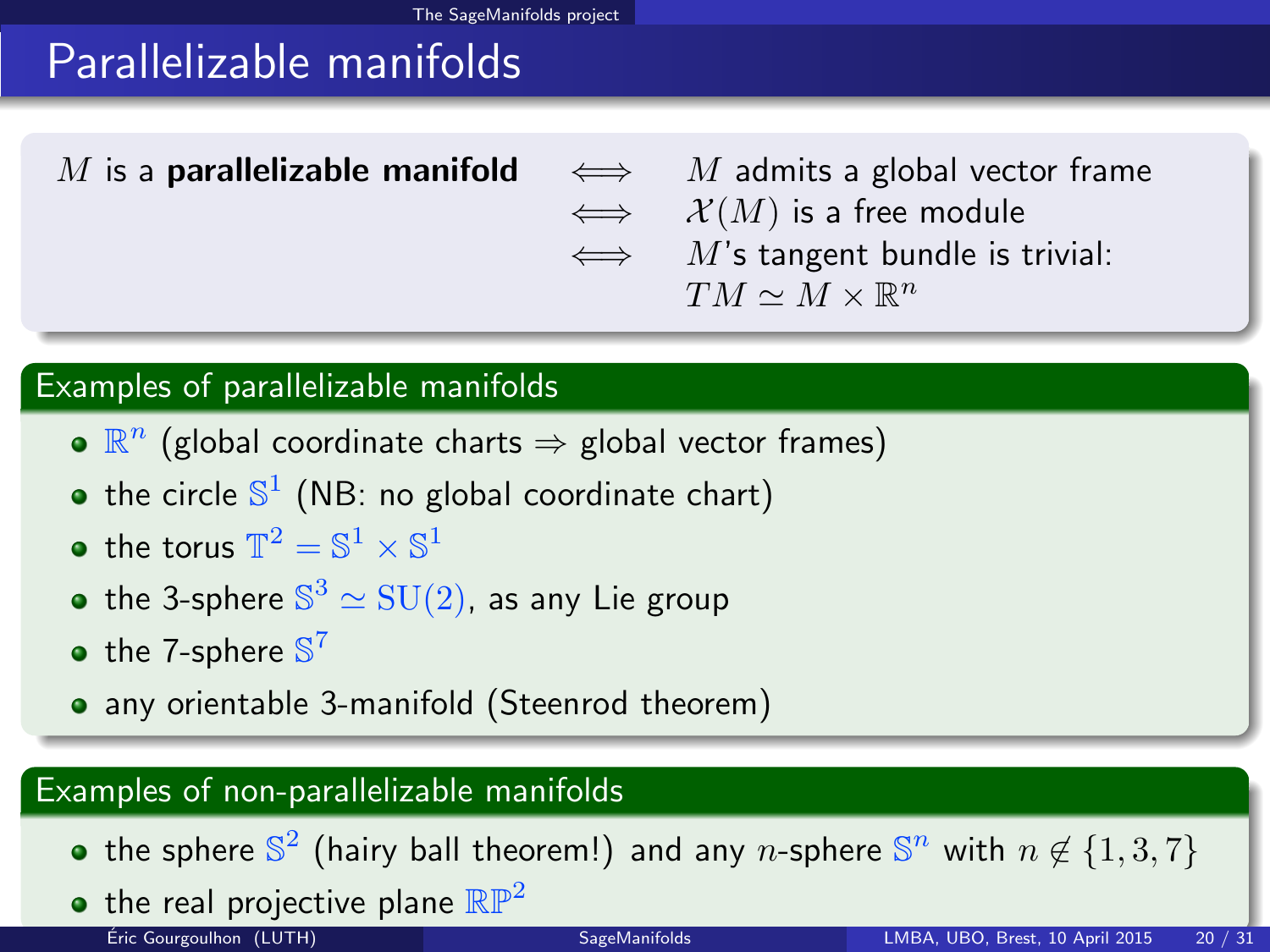# Parallelizable manifolds

M is a **parallelizable manifold**  $\iff$  M admits a global vector frame  $\iff$   $\mathcal{X}(M)$  is a free module  $\iff$  M's tangent bundle is trivial:  $TM \simeq M \times \mathbb{R}^n$ 

### Examples of parallelizable manifolds

- $\mathbb{R}^n$  (global coordinate charts  $\Rightarrow$  global vector frames)
- the circle  $\mathbb{S}^1$  (NB: no global coordinate chart)
- the torus  $\mathbb{T}^2 = \mathbb{S}^1 \times \mathbb{S}^1$
- the 3-sphere  $\mathbb{S}^3 \simeq \mathrm{SU}(2)$ , as any Lie group
- the 7-sphere  $\mathbb{S}^7$
- any orientable 3-manifold (Steenrod theorem)

### Examples of non-parallelizable manifolds

- the sphere  $\mathbb{S}^2$  (hairy ball theorem!) and any n-sphere  $\mathbb{S}^n$  with  $n \not\in \{1,3,7\}$
- <span id="page-32-0"></span>• the real projective plane  $\mathbb{RP}^2$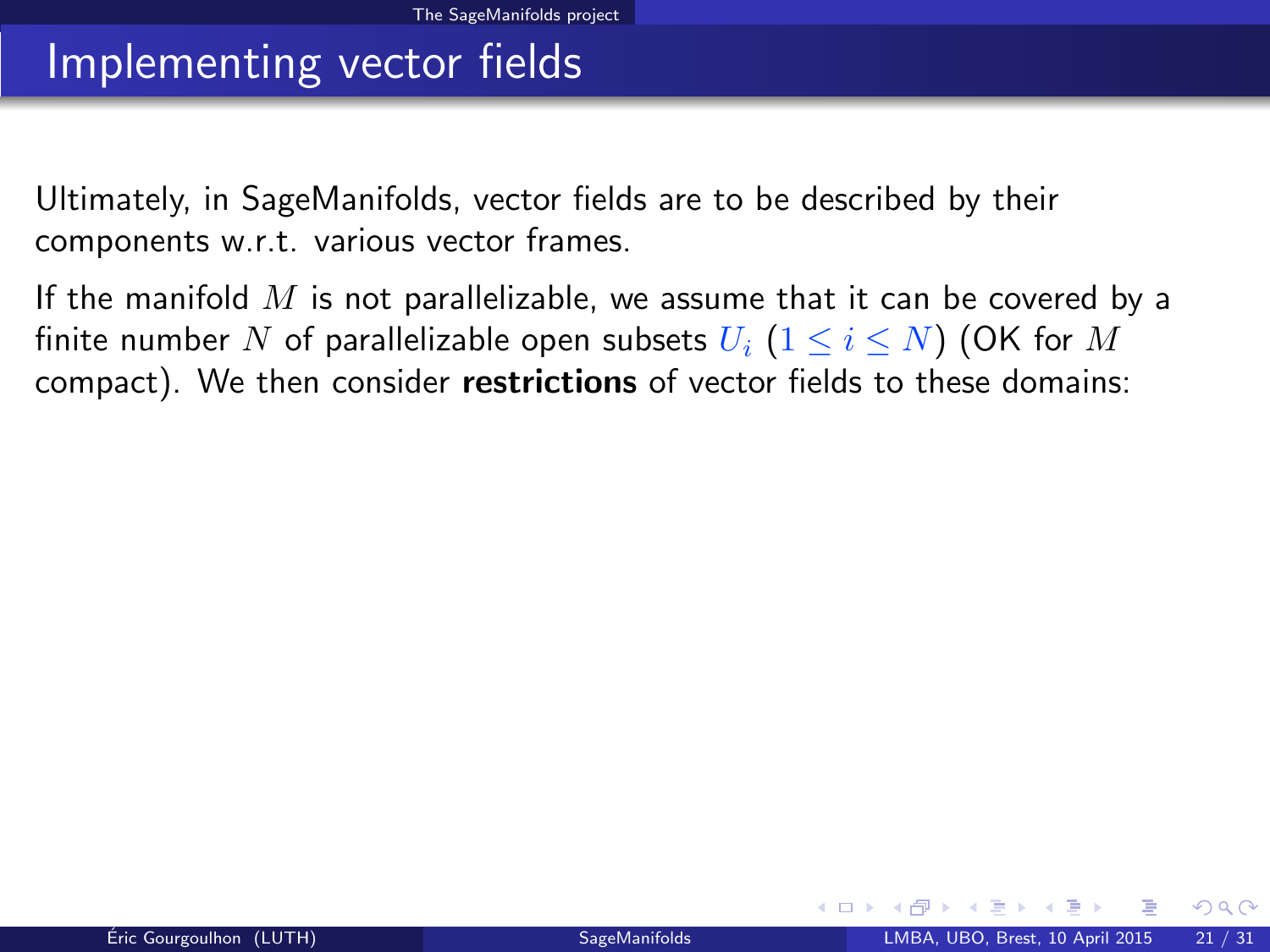### Implementing vector fields

Ultimately, in SageManifolds, vector fields are to be described by their components w.r.t. various vector frames.

If the manifold  $M$  is not parallelizable, we assume that it can be covered by a finite number N of parallelizable open subsets  $U_i$   $(1 \le i \le N)$  (OK for M compact). We then consider restrictions of vector fields to these domains:

<span id="page-33-0"></span> $\Omega$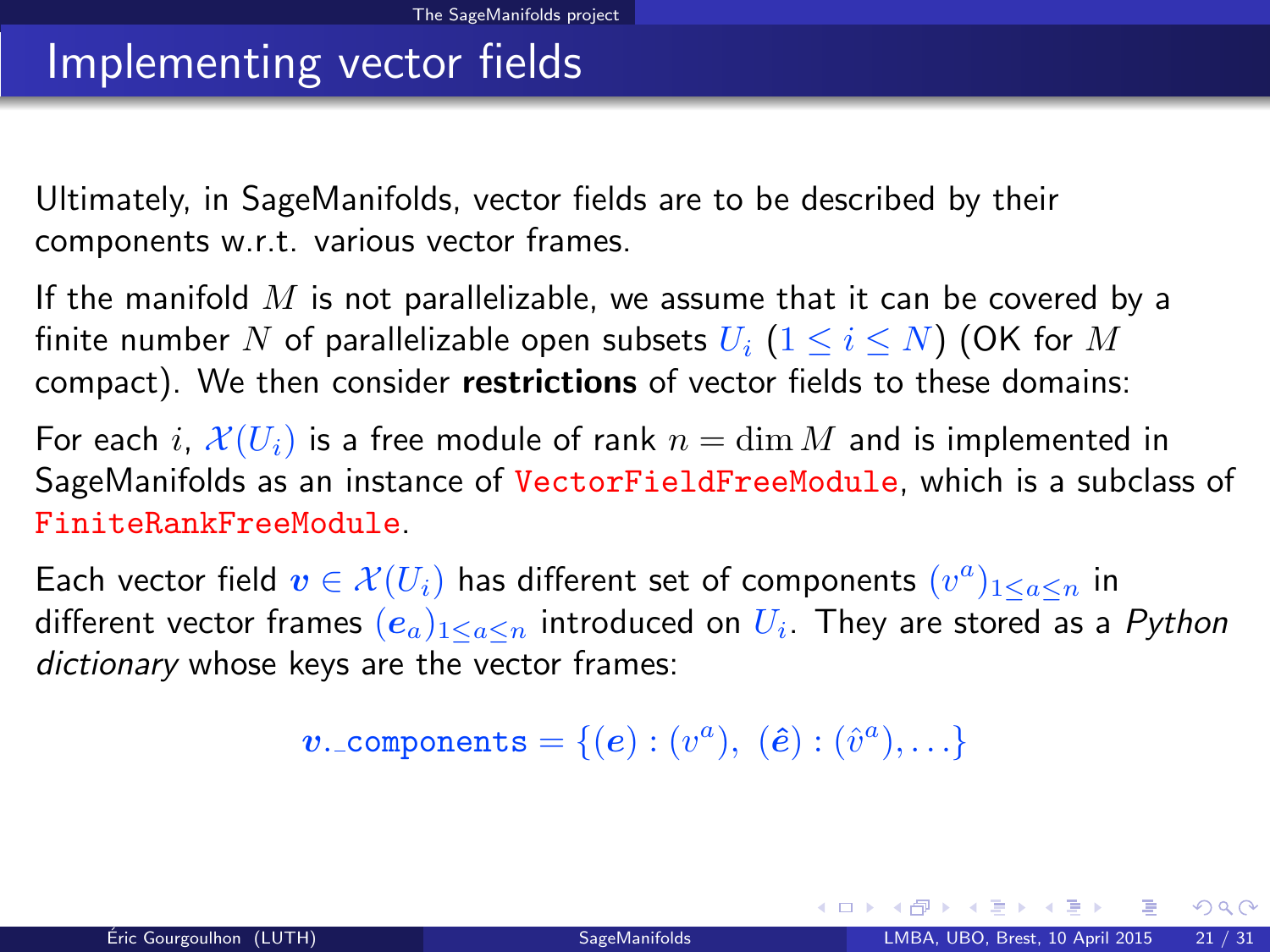### Implementing vector fields

Ultimately, in SageManifolds, vector fields are to be described by their components w.r.t. various vector frames.

If the manifold  $M$  is not parallelizable, we assume that it can be covered by a finite number N of parallelizable open subsets  $U_i$   $(1 \le i \le N)$  (OK for M compact). We then consider restrictions of vector fields to these domains:

For each i,  $\mathcal{X}(U_i)$  is a free module of rank  $n = \dim M$  and is implemented in SageManifolds as an instance of VectorFieldFreeModule, which is a subclass of FiniteRankFreeModule.

Each vector field  $\boldsymbol{v} \in \mathcal{X}(U_i)$  has different set of components  $(v^a)_{1 \leq a \leq n}$  in different vector frames  $(e_a)_{1\leq a\leq n}$  introduced on  $U_i$ . They are stored as a  $Python$ dictionary whose keys are the vector frames:

 $\boldsymbol{v}$ . components =  $\{(\boldsymbol{e}): (v^a),\; (\hat{\boldsymbol{e}}): (\hat{v}^a), \ldots\}$ 

<span id="page-34-0"></span> $\Omega$ 

イロト イ押ト イヨト イ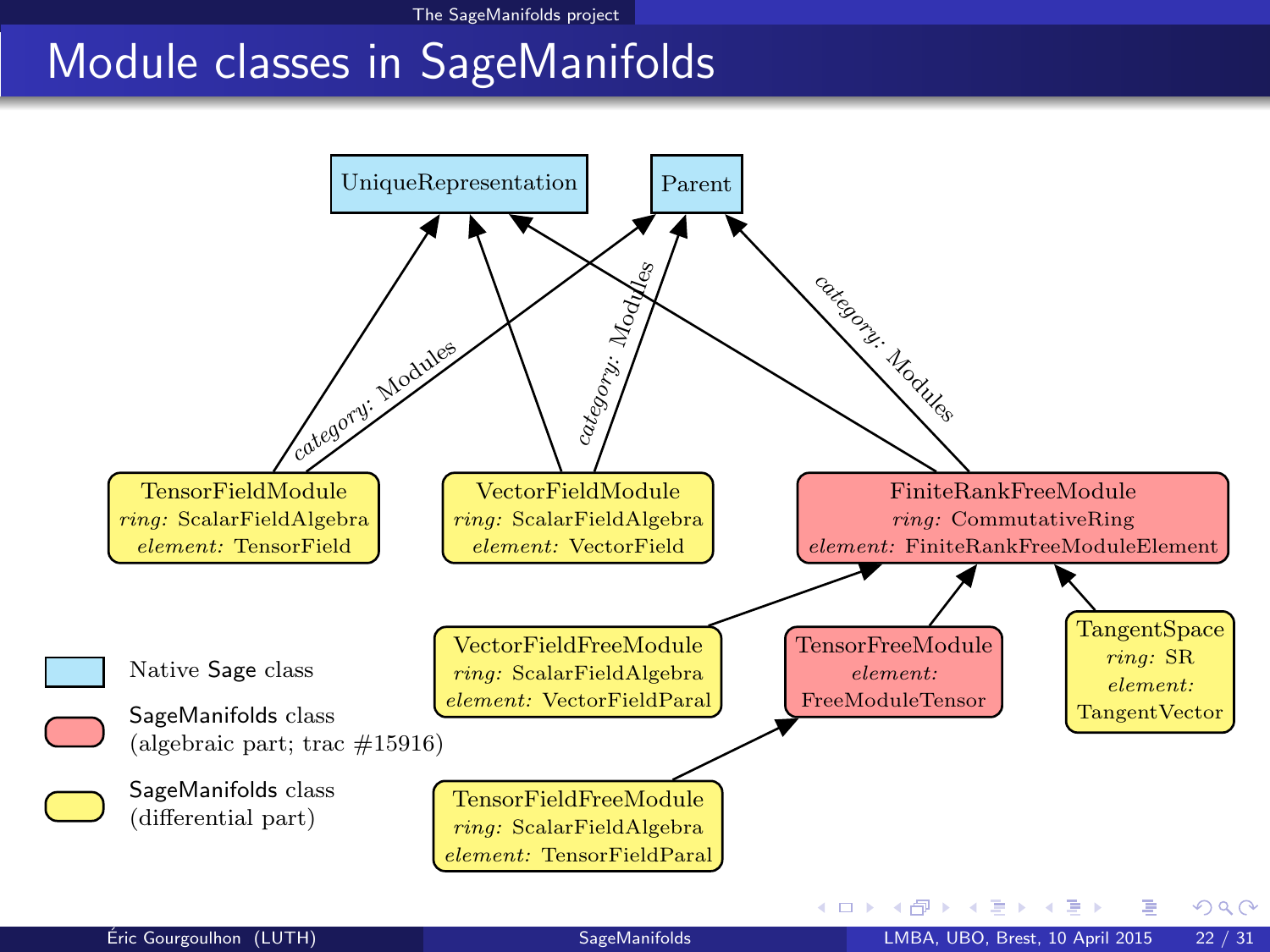### <span id="page-35-0"></span>Module classes in SageManifolds

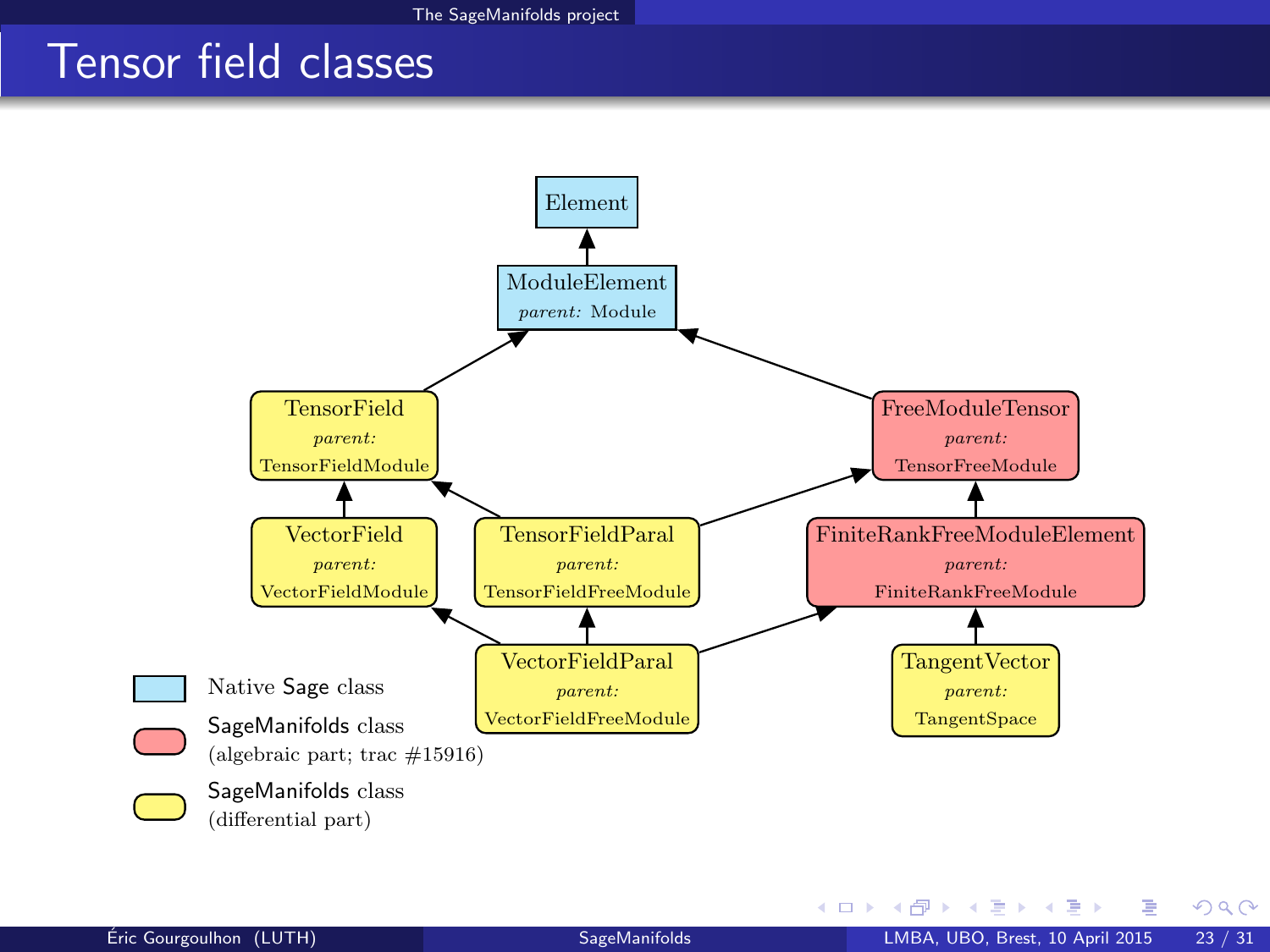### Tensor field classes



<span id="page-36-0"></span>÷. **SIL** 

**←ロ ▶ ← イ 同 →**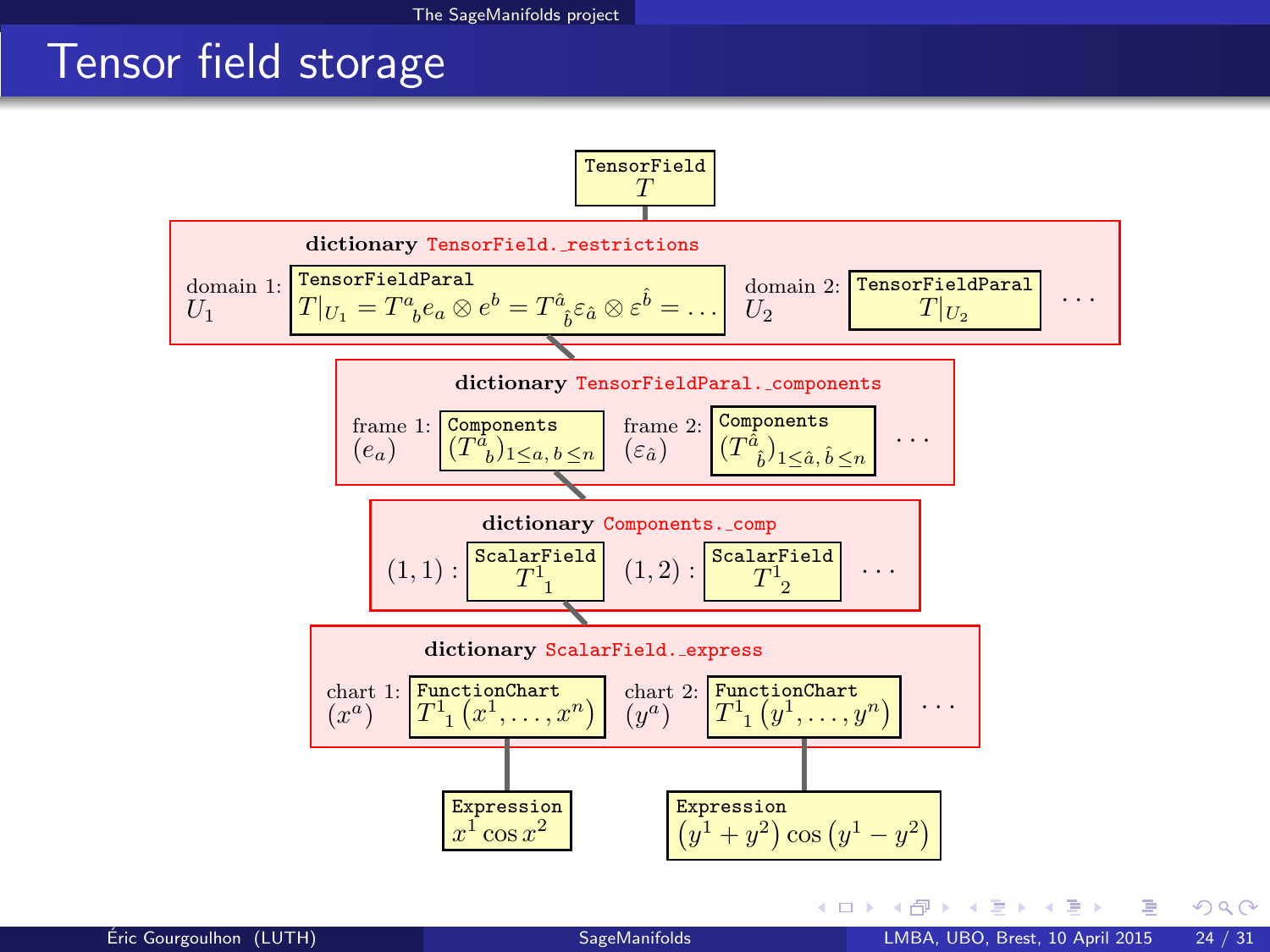### Tensor field storage

<span id="page-37-0"></span>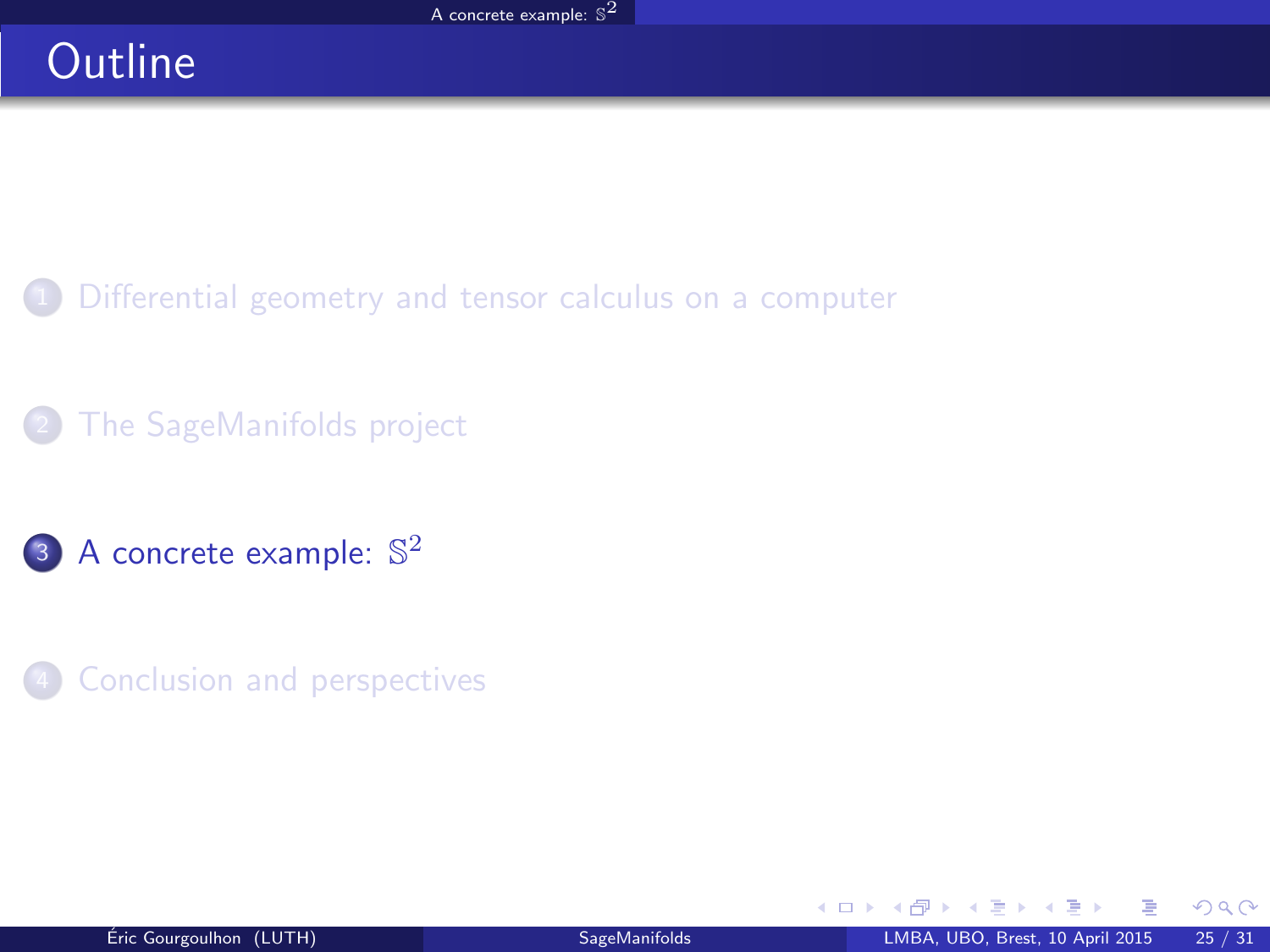# **Outline**

- [Differential geometry and tensor calculus on a computer](#page-2-0)
- [The SageManifolds project](#page-17-0)
- 3 [A concrete example:](#page-38-0)  $\mathbb{S}^2$
- **[Conclusion and perspectives](#page-40-0)**

<span id="page-38-0"></span> $\sim$ 

**K ロ ▶ K 何 ▶ K 手**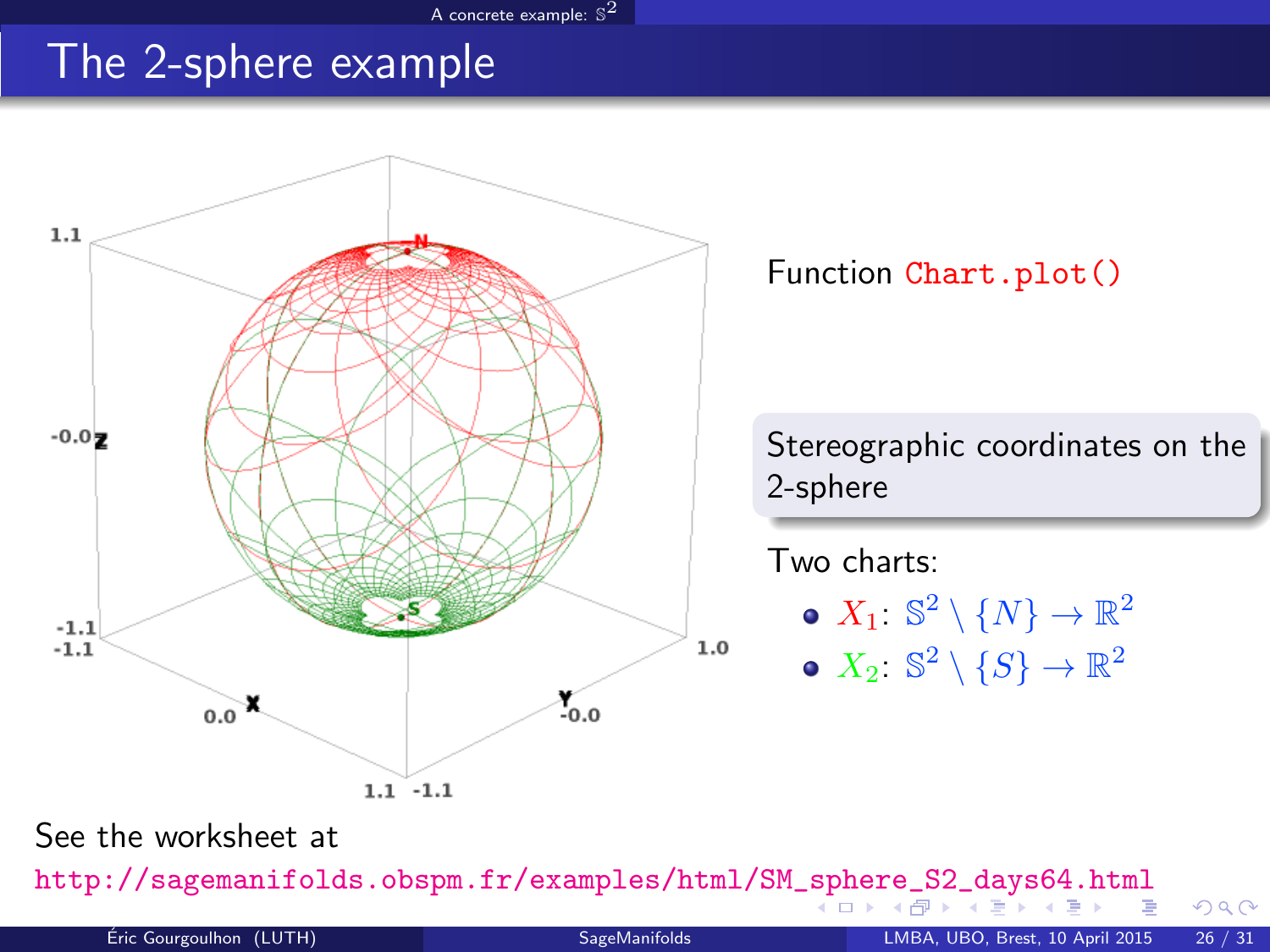#### [A concrete example:](#page-39-0)  $\mathbb{S}^2$

### The 2-sphere example



<span id="page-39-0"></span>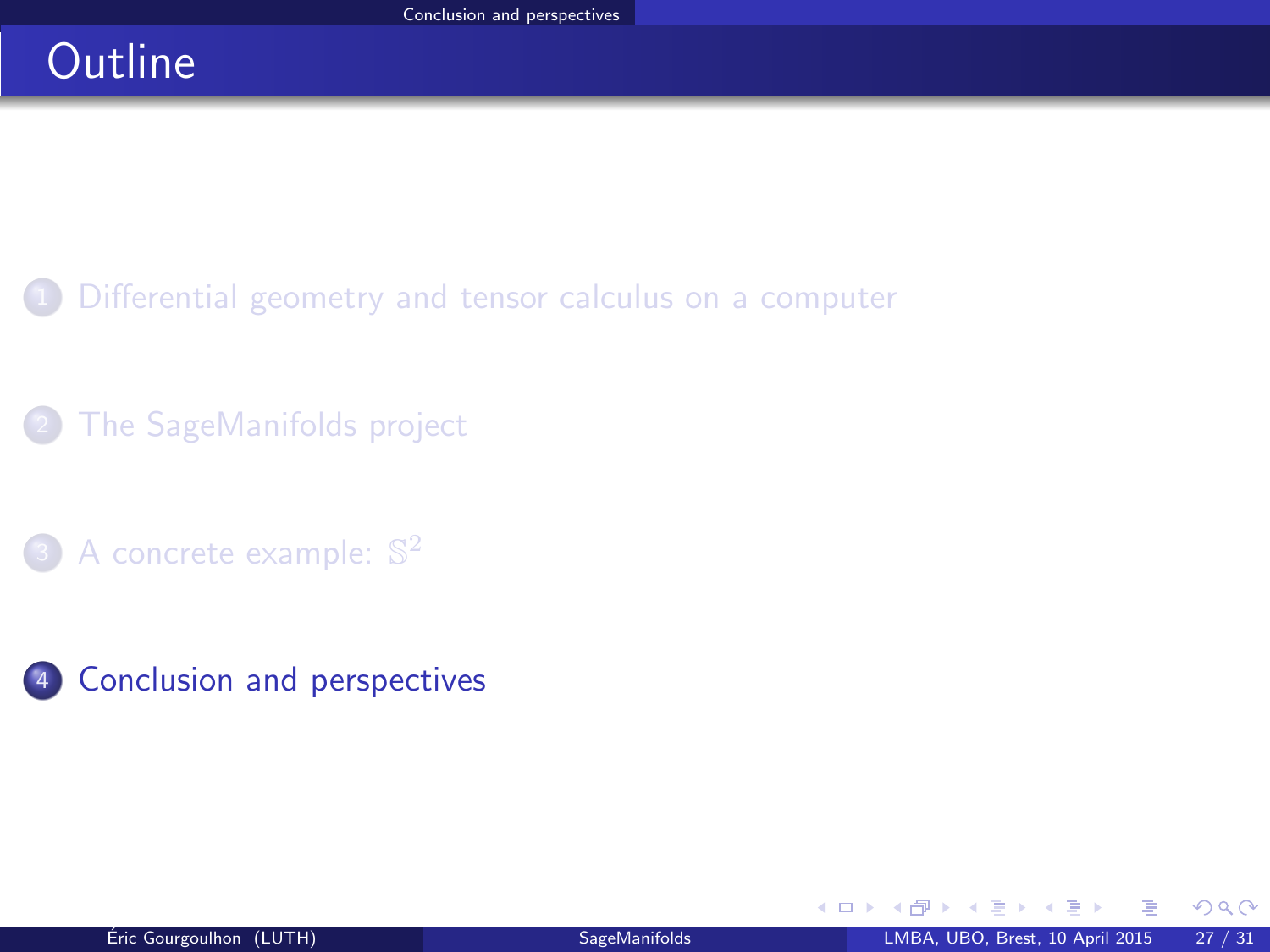# **Outline**

- [Differential geometry and tensor calculus on a computer](#page-2-0)
- [The SageManifolds project](#page-17-0)
- 3 [A concrete example:](#page-38-0)  $\mathbb{S}^2$
- 4 [Conclusion and perspectives](#page-40-0)

<span id="page-40-0"></span>舌  $\sim$ 

**K ロ ▶ K 何 ▶ K**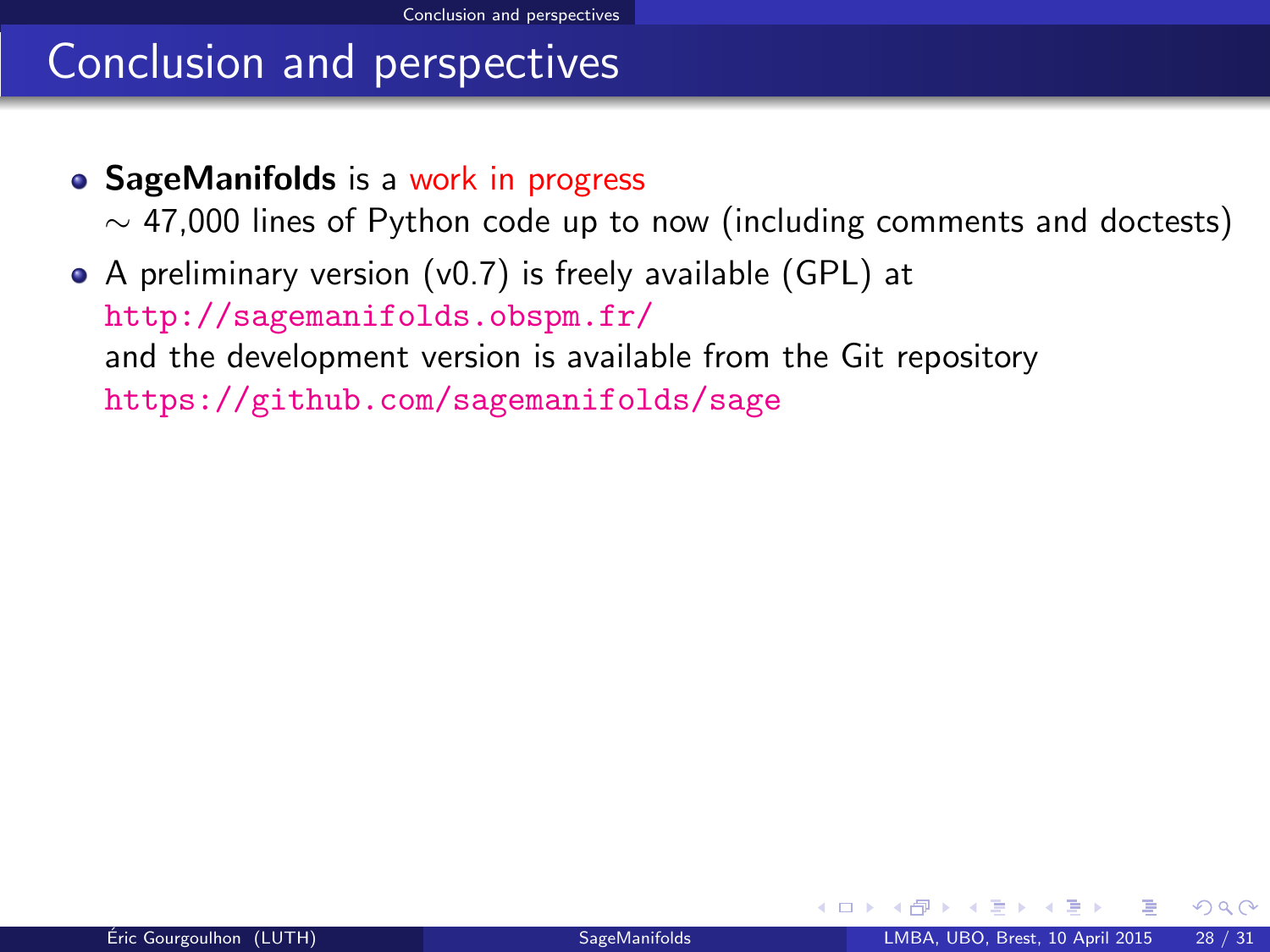### Conclusion and perspectives

• SageManifolds is a work in progress

 $\sim$  47,000 lines of Python code up to now (including comments and doctests)

A preliminary version (v0.7) is freely available (GPL) at <http://sagemanifolds.obspm.fr/> and the development version is available from the Git repository <https://github.com/sagemanifolds/sage>

<span id="page-41-0"></span> $\Omega$ 

◂<del>◻▸ кฅ</del>▸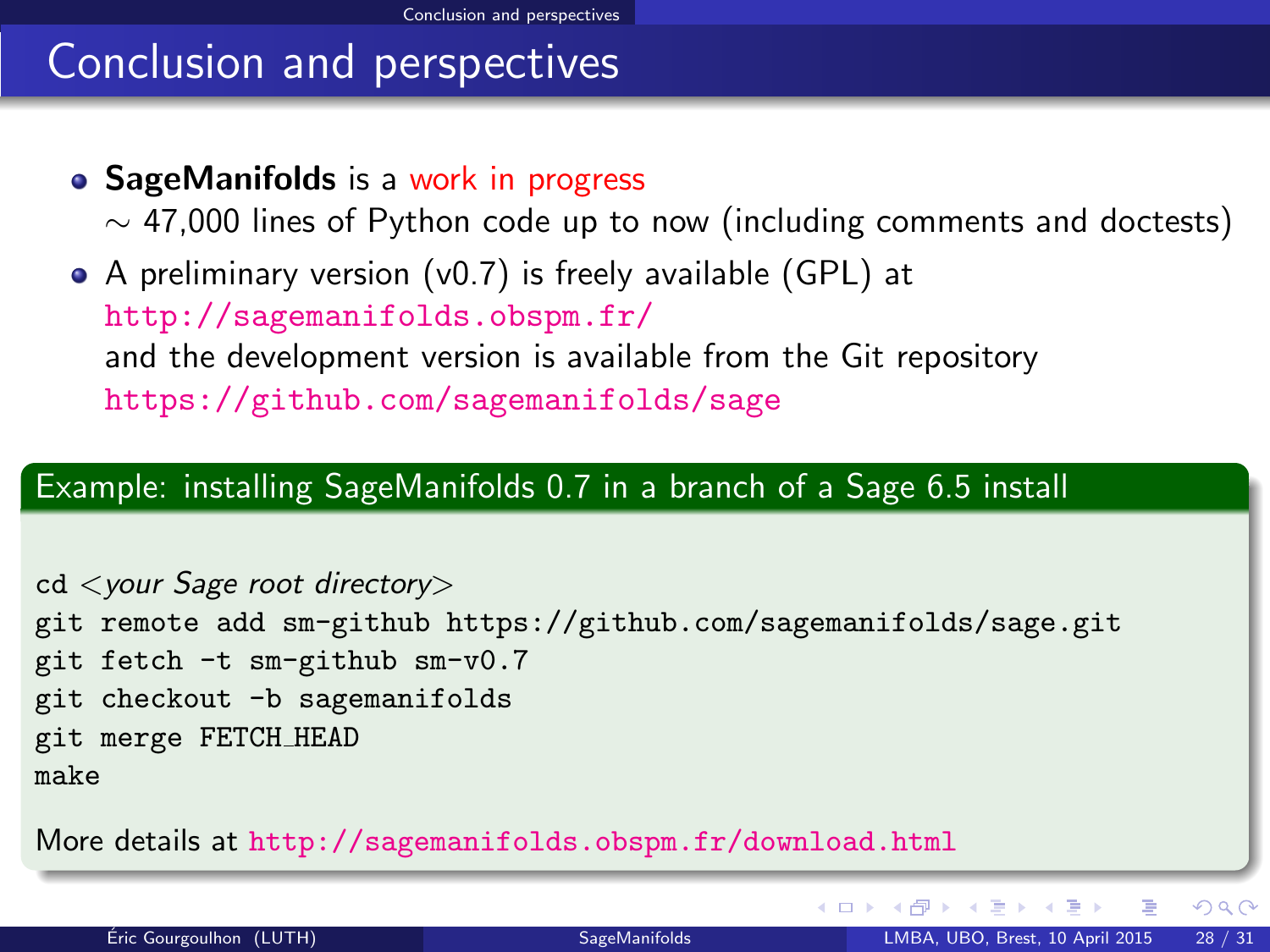# Conclusion and perspectives

• SageManifolds is a work in progress

 $\sim$  47,000 lines of Python code up to now (including comments and doctests)

A preliminary version (v0.7) is freely available (GPL) at <http://sagemanifolds.obspm.fr/> and the development version is available from the Git repository <https://github.com/sagemanifolds/sage>

### Example: installing SageManifolds 0.7 in a branch of a Sage 6.5 install

cd <your Sage root directory> git remote add sm-github<https://github.com/sagemanifolds/sage.git> git fetch -t sm-github sm-v0.7 git checkout -b sagemanifolds git merge FETCH HEAD make

More details at <http://sagemanifolds.obspm.fr/download.html>

**K ロ ▶ | K 伺 ▶ | K ヨ ▶ |** 

<span id="page-42-0"></span> $QQ$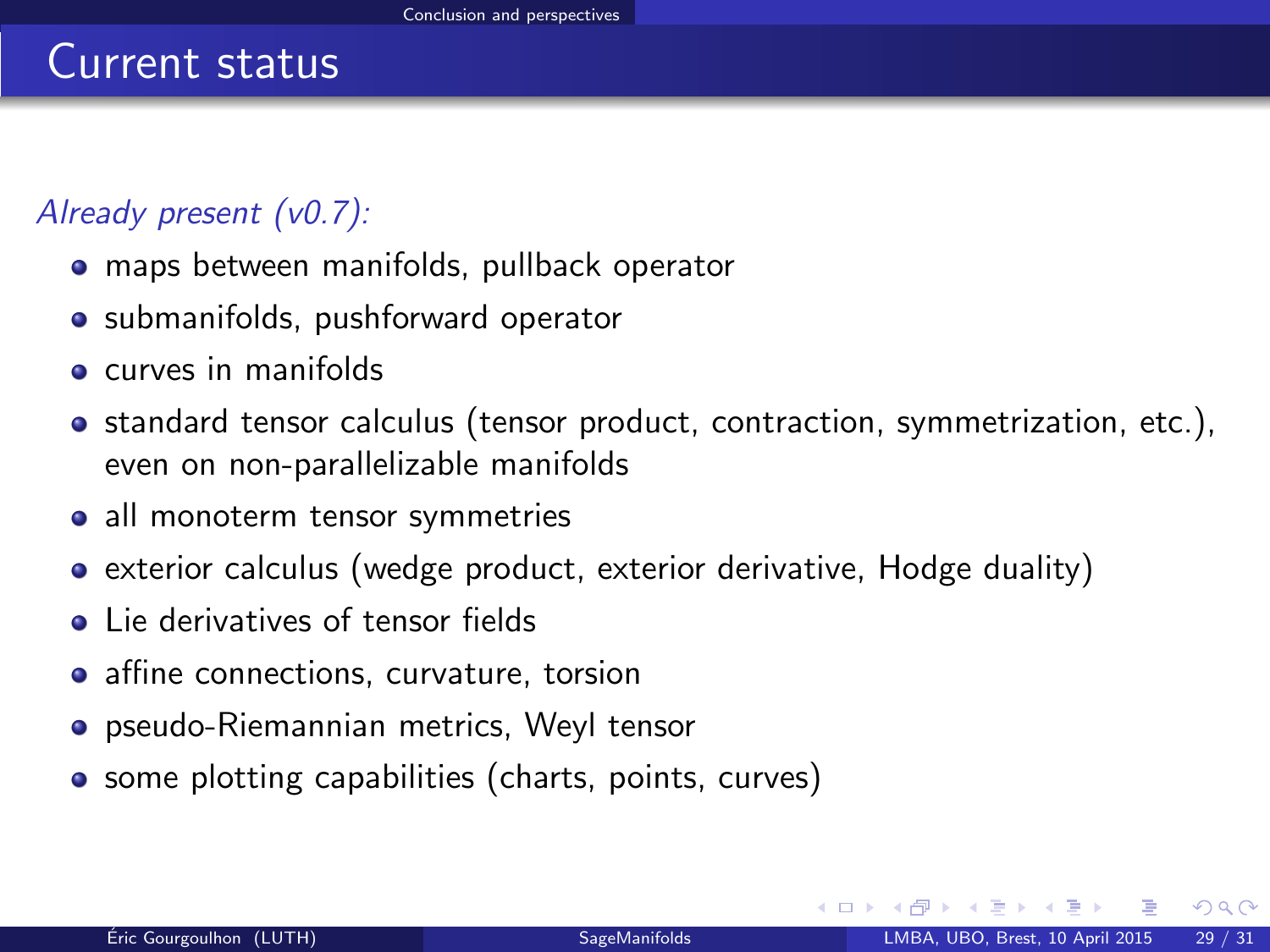### Already present (v0.7):

- maps between manifolds, pullback operator
- submanifolds, pushforward operator
- **e** curves in manifolds
- standard tensor calculus (tensor product, contraction, symmetrization, etc.), even on non-parallelizable manifolds
- all monoterm tensor symmetries
- exterior calculus (wedge product, exterior derivative, Hodge duality)
- **.** Lie derivatives of tensor fields
- affine connections, curvature, torsion
- pseudo-Riemannian metrics, Weyl tensor
- some plotting capabilities (charts, points, curves)

<span id="page-43-0"></span> $\Omega$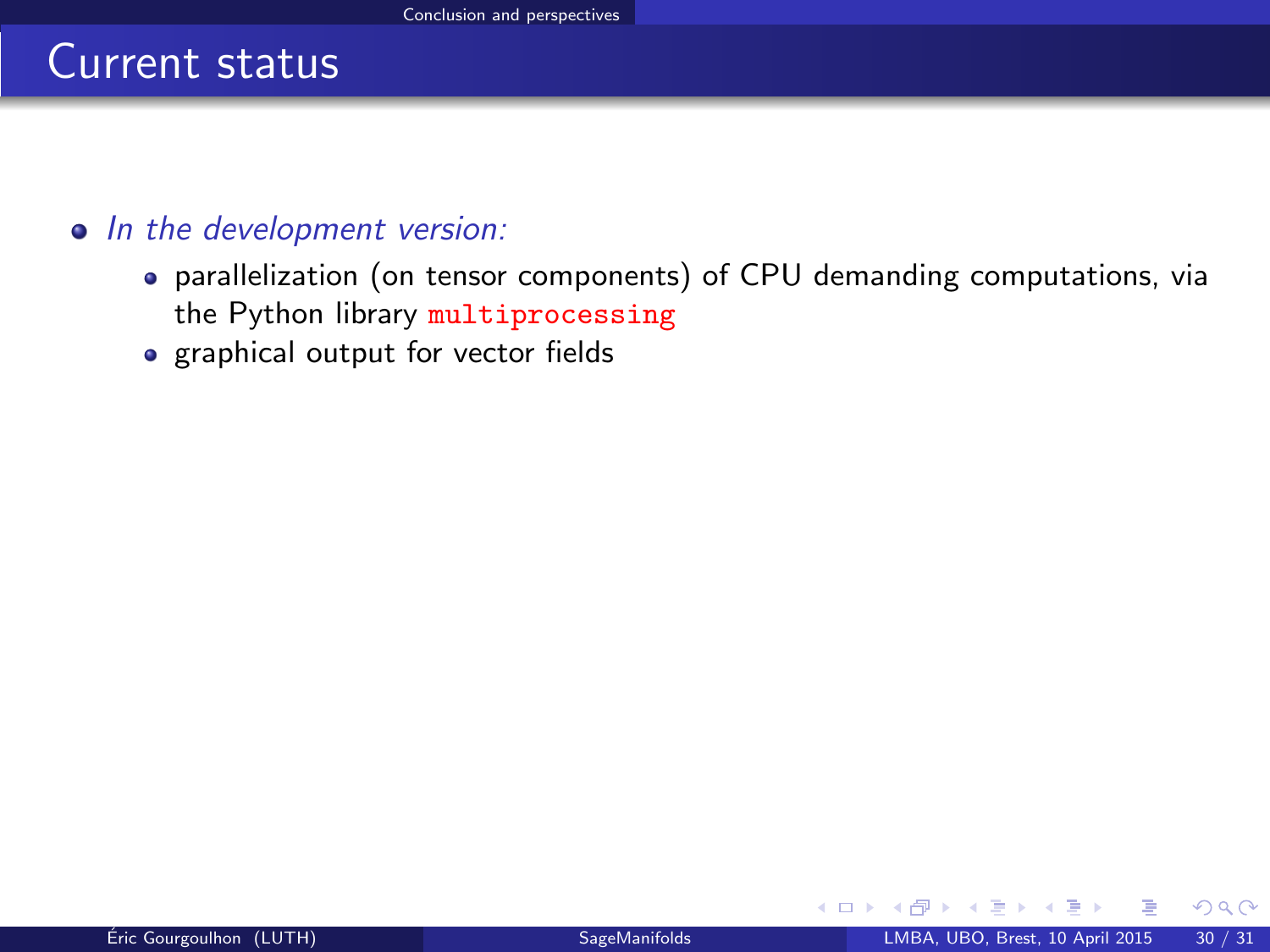#### • In the development version:

- parallelization (on tensor components) of CPU demanding computations, via the Python library multiprocessing
- graphical output for vector fields

<span id="page-44-0"></span> $\Omega$ 

4 0 8 4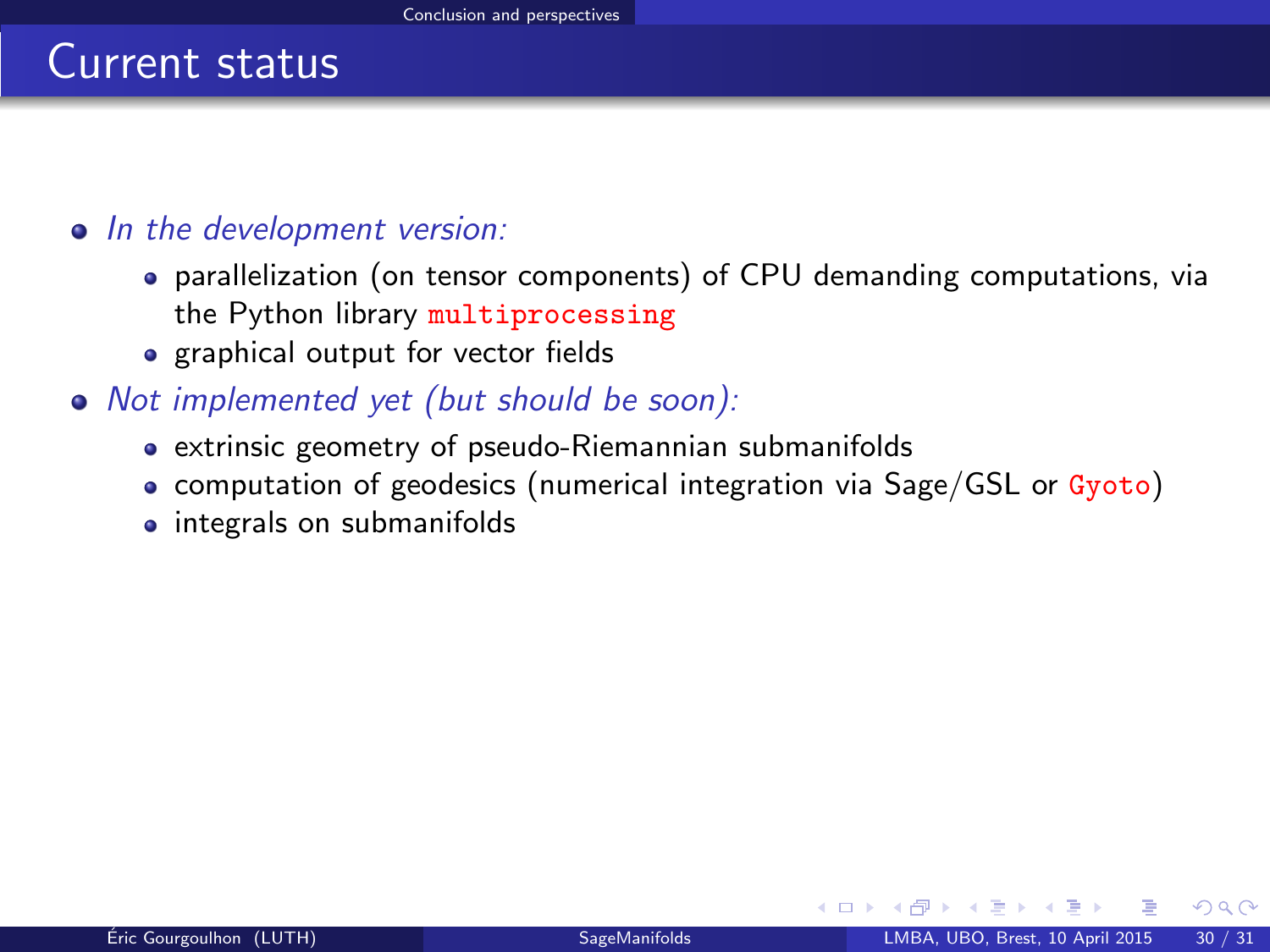#### • In the development version:

- parallelization (on tensor components) of CPU demanding computations, via the Python library multiprocessing
- graphical output for vector fields
- Not implemented yet (but should be soon):
	- extrinsic geometry of pseudo-Riemannian submanifolds
	- computation of geodesics (numerical integration via Sage/GSL or Gyoto)
	- integrals on submanifolds

<span id="page-45-0"></span> $\Omega$ 

**4 ロ 4 伊**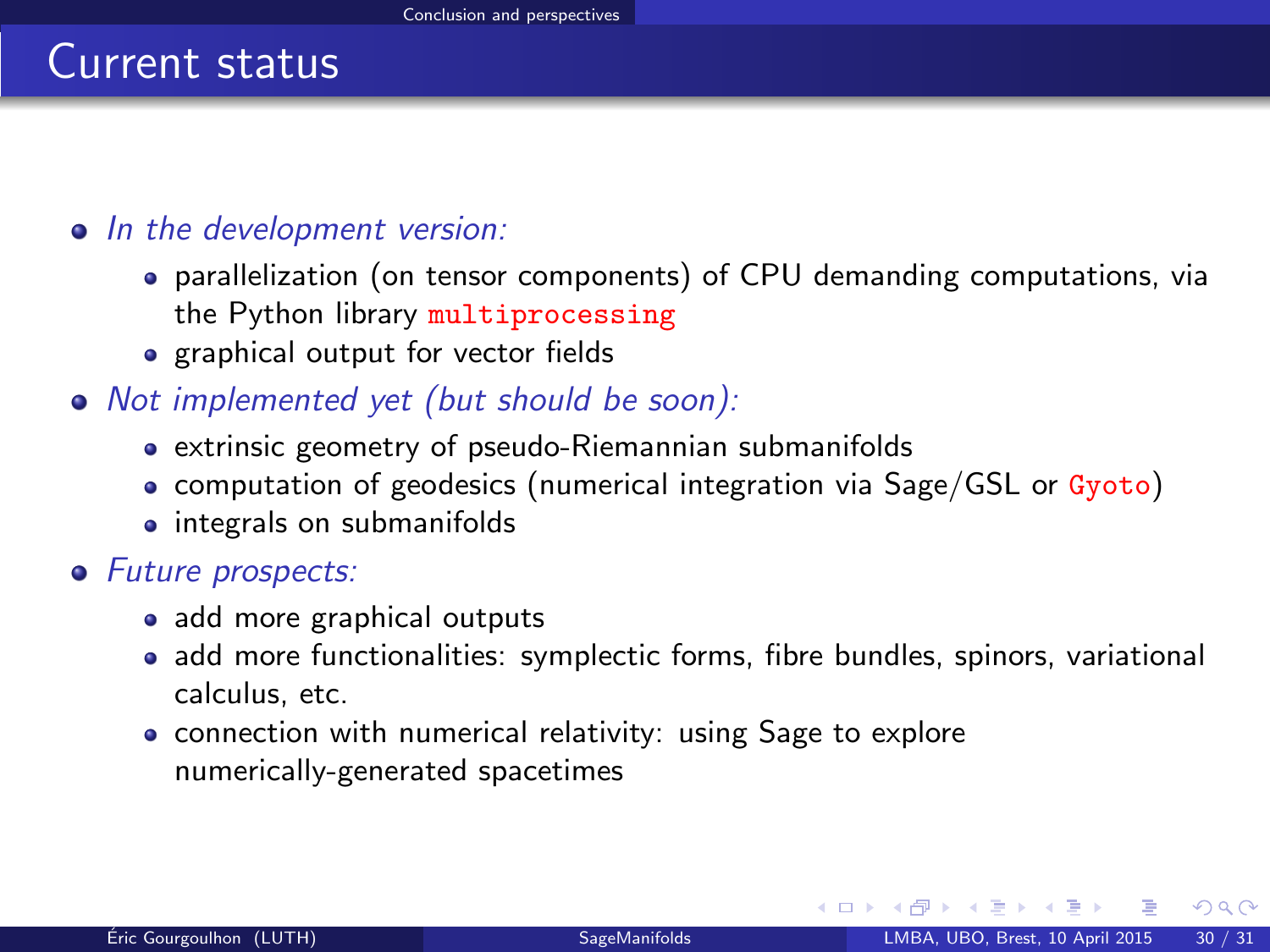#### • In the development version:

- parallelization (on tensor components) of CPU demanding computations, via the Python library multiprocessing
- graphical output for vector fields
- Not implemented yet (but should be soon):
	- extrinsic geometry of pseudo-Riemannian submanifolds
	- computation of geodesics (numerical integration via Sage/GSL or Gyoto)
	- integrals on submanifolds

#### • Future prospects:

- add more graphical outputs
- add more functionalities: symplectic forms, fibre bundles, spinors, variational calculus, etc.
- connection with numerical relativity: using Sage to explore numerically-generated spacetimes

<span id="page-46-0"></span> $\Omega$ 

**K ロ ▶ K 何 ▶ K 手**